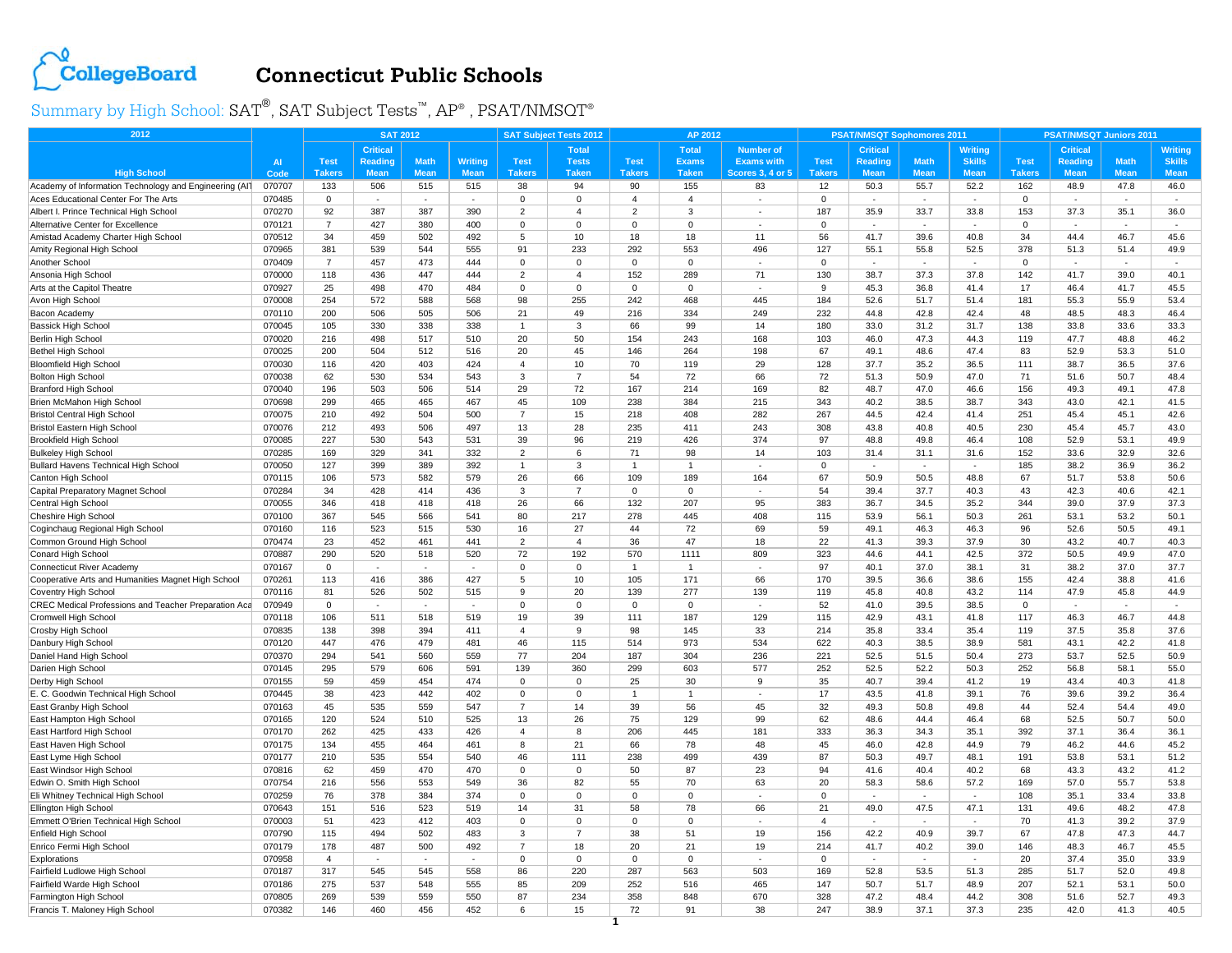

## **Connecticut Public Schools**

Summary by High School:  $\text{SAT}^{\circledast}, \text{SAT}$  Subject Tests™,  $\text{AP}^{\circledast}$  ,  $\text{PSAT/NMSOT}^{\circledast}$ 

| 2012                                                        |           | <b>SAT 2012</b> |                          |             |             | <b>SAT Subject Tests 2012</b><br>AP 2012 |                |                |                |                          |                | <b>PSAT/NMSQT Sophomores 2011</b> |             |                | PSAT/NMSQT Juniors 2011 |                 |             |                |  |
|-------------------------------------------------------------|-----------|-----------------|--------------------------|-------------|-------------|------------------------------------------|----------------|----------------|----------------|--------------------------|----------------|-----------------------------------|-------------|----------------|-------------------------|-----------------|-------------|----------------|--|
|                                                             |           |                 | <b>Critical</b>          |             |             |                                          | <b>Total</b>   |                | <b>Total</b>   | <b>Number of</b>         |                | <b>Critical</b>                   |             | <b>Writing</b> |                         | <b>Critical</b> |             | <b>Writing</b> |  |
|                                                             | <b>AI</b> | <b>Test</b>     | <b>Reading</b>           | <b>Math</b> | Writing     | <b>Test</b>                              | <b>Tests</b>   | <b>Test</b>    | <b>Exams</b>   | <b>Exams with</b>        | <b>Test</b>    | <b>Reading</b>                    | <b>Math</b> | <b>Skills</b>  | <b>Test</b>             | Reading         | <b>Math</b> | <b>Skills</b>  |  |
| <b>High School</b>                                          | Code      | <b>Takers</b>   | <b>Mean</b>              | <b>Mean</b> | <b>Mean</b> | <b>Takers</b>                            | <b>Taken</b>   | <b>Takers</b>  | <b>Taken</b>   | <b>Scores 3, 4 or 5</b>  | <b>Takers</b>  | <b>Mean</b>                       | <b>Mean</b> | <b>Mean</b>    | <b>Takers</b>           | <b>Mean</b>     | <b>Mean</b> | <b>Mean</b>    |  |
| Academy of Information Technology and Engineering (AIT      | 070707    | 133             | 506                      | 515         | 515         | 38                                       | 94             | 90             | 155            | 83                       | 12             | 50.3                              | 55.7        | 52.2           | 162                     | 48.9            | 47.8        | 46.0           |  |
| Aces Educational Center For The Arts                        | 070485    | $\mathbf 0$     | $\sim$                   | $\sim$      | $\sim$      | 0                                        | $\mathbf 0$    | $\overline{4}$ | $\overline{4}$ | $\sim$                   | 0              | $\sim$                            | ٠           | $\sim$         | $\mathbf 0$             |                 |             | $\sim$         |  |
| Albert I. Prince Technical High School                      | 070270    | 92              | 387                      | 387         | 390         | $\overline{2}$                           | $\overline{4}$ | $\overline{2}$ | 3              |                          | 187            | 35.9                              | 33.7        | 33.8           | 153                     | 37.3            | 35.1        | 36.0           |  |
| <b>Alternative Center for Excellence</b>                    | 070121    | $\overline{7}$  | 427                      | 380         | 400         | $\Omega$                                 | $\Omega$       | $\mathbf 0$    | $\Omega$       |                          | $\Omega$       |                                   |             |                | $\Omega$                |                 |             |                |  |
| Amistad Academy Charter High School                         | 070512    | 34              | 459                      | 502         | 492         | 5                                        | 10             | 18             | 18             | 11                       | 56             | 41.7                              | 39.6        | 40.8           | 34                      | 44.4            | 46.7        | 45.6           |  |
| Amity Regional High School                                  | 070965    | 381             | 539                      | 544         | 555         | 91                                       | 233            | 292            | 553            | 496                      | 127            | 55.1                              | 55.8        | 52.5           | 378                     | 51.3            | 51.4        | 49.9           |  |
| Another School                                              | 070409    | $\overline{7}$  | 457                      | 473         | 444         | $\Omega$                                 | $\Omega$       | $\mathbf 0$    | $\Omega$       | $\sim$                   | $\Omega$       | $\sim$                            | $\sim$      | $\sim$         | $\Omega$                | $\sim$          | $\sim$      | $\sim$         |  |
| Ansonia High School                                         | 070000    | 118             | 436                      | 447         | 444         | $\overline{2}$                           | $\overline{4}$ | 152            | 289            | 71                       | 130            | 38.7                              | 37.3        | 37.8           | 142                     | 41.7            | 39.0        | 40.1           |  |
| Arts at the Capitol Theatre                                 | 070927    | 25              | 498                      | 470         | 484         | $\Omega$                                 | $\Omega$       | $\mathbf 0$    | $\Omega$       |                          | 9              | 45.3                              | 36.8        | 41.4           | 17                      | 46.4            | 41.7        | 45.5           |  |
| Avon High Schoo                                             | 070008    | 254             | 572                      | 588         | 568         | 98                                       | 255            | 242            | 468            | 445                      | 184            | 52.6                              | 51.7        | 51.4           | 181                     | 55.3            | 55.9        | 53.4           |  |
| Bacon Academy                                               | 070110    | 200             | 506                      | 505         | 506         | 21                                       | 49             | 216            | 334            | 249                      | 232            | 44.8                              | 42.8        | 42.4           | 48                      | 48.5            | 48.3        | 46.4           |  |
| <b>Bassick High School</b>                                  | 070045    | 105             | 330                      | 338         | 338         | 1                                        | 3              | 66             | 99             | 14                       | 180            | 33.0                              | 31.2        | 31.7           | 138                     | 33.8            | 33.6        | 33.3           |  |
| Berlin High School                                          | 070020    | 216             | 498                      | 517         | 510         | 20                                       | 50             | 154            | 243            | 168                      | 103            | 46.0                              | 47.3        | 44.3           | 119                     | 47.7            | 48.8        | 46.2           |  |
| <b>Bethel High School</b>                                   | 070025    | 200             | 504                      | 512         | 516         | 20                                       | 45             | 146            | 264            | 198                      | 67             | 49.1                              | 48.6        | 47.4           | 83                      | 52.9            | 53.3        | 51.0           |  |
| <b>Bloomfield High School</b>                               | 070030    | 116             | 420                      | 403         | 424         | 4                                        | 10             | 70             | 119            | 29                       | 128            | 37.7                              | 35.2        | 36.5           | 111                     | 38.7            | 36.5        | 37.6           |  |
| Bolton High School                                          | 070038    | 62              | 530                      | 534         | 543         | 3                                        | $\overline{7}$ | 54             | 72             | 66                       | 72             | 51.3                              | 50.9        | 47.0           | 71                      | 51.6            | 50.7        | 48.4           |  |
| <b>Branford High School</b>                                 | 070040    | 196             | 503                      | 506         | 514         | 29                                       | 72             | 167            | 214            | 169                      | 82             | 48.7                              | 47.0        | 46.6           | 156                     | 49.3            | 49.1        | 47.8           |  |
| Brien McMahon High Schoo                                    | 070698    | 299             | 465                      | 465         | 467         | 45                                       | 109            | 238            | 384            | 215                      | 343            | 40.2                              | 38.5        | 38.7           | 343                     | 43.0            | 42.1        | 41.5           |  |
| <b>Bristol Central High School</b>                          | 070075    | 210             | 492                      | 504         | 500         | $\overline{7}$                           | 15             | 218            | 408            | 282                      | 267            | 44.5                              | 42.4        | 41.4           | 251                     | 45.4            | 45.1        | 42.6           |  |
| Bristol Eastern High School                                 | 070076    | 212             | 493                      | 506         | 497         | 13                                       | 28             | 235            | 411            | 243                      | 308            | 43.8                              | 40.8        | 40.5           | 230                     | 45.4            | 45.7        | 43.0           |  |
| <b>Brookfield High School</b>                               | 070085    | 227             | 530                      | 543         | 531         | 39                                       | 96             | 219            | 426            | 374                      | 97             | 48.8                              | 49.8        | 46.4           | 108                     | 52.9            | 53.1        | 49.9           |  |
| <b>Bulkeley High School</b>                                 | 070285    | 169             | 329                      | 341         | 332         | 2                                        | 6              | 71             | 98             | 14                       | 103            | 31.4                              | 31.1        | 31.6           | 152                     | 33.6            | 32.9        | 32.6           |  |
| Bullard Havens Technical High School                        | 070050    | 127             | 399                      | 389         | 392         |                                          | 3              |                |                |                          | $\mathbf 0$    |                                   |             |                | 185                     | 38.2            | 36.9        | 36.2           |  |
| Canton High School                                          | 070115    | 106             | 573                      | 582         | 579         | 26                                       | 66             | 109            | 189            | 164                      | 67             | 50.9                              | 50.5        | 48.8           | 67                      | 51.7            | 53.8        | 50.6           |  |
| Capital Preparatory Magnet School                           | 070284    | 34              | 428                      | 414         | 436         | $\mathcal{R}$                            | $\overline{7}$ | $\mathbf 0$    | $\mathbf 0$    |                          | 54             | 39.4                              | 37.7        | 40.3           | 43                      | 42.3            | 40.6        | 42.1           |  |
| Central High School                                         | 070055    | 346             | 418                      | 418         | 418         | 26                                       | 66             | 132            | 207            | 95                       | 383            | 36.7                              | 34.5        | 35.2           | 344                     | 39.0            | 37.9        | 37.3           |  |
| Cheshire High School                                        | 070100    | 367             | 545                      | 566         | 541         | 80                                       | 217            | 278            | 445            | 408                      | 115            | 53.9                              | 56.1        | 50.3           | 261                     | 53.1            | 53.2        | 50.1           |  |
| Coginchaug Regional High School                             | 070160    | 116             | 523                      | 515         | 530         | 16                                       | 27             | 44             | 72             | 69                       | 59             | 49.1                              | 46.3        | 46.3           | 96                      | 52.6            | 50.5        | 49.1           |  |
| Common Ground High School                                   | 070474    | 23              | 452                      | 461         | 441         | $\overline{2}$                           | $\overline{4}$ | 36             | 47             | 18                       | 22             | 41.3                              | 39.3        | 37.9           | 30                      | 43.2            | 40.7        | 40.3           |  |
| Conard High School                                          | 070887    | 290             | 520                      | 518         | 520         | 72                                       | 192            | 570            | 1111           | 809                      | 323            | 44.6                              | 44.1        | 42.5           | 372                     | 50.5            | 49.9        | 47.0           |  |
| <b>Connecticut River Academy</b>                            | 070167    | $\mathbf 0$     | $\mathbf{r}$             | ÷.          | $\sim$      | $\Omega$                                 | $\Omega$       | $\overline{1}$ | $\mathbf{1}$   | ÷,                       | 97             | 40.1                              | 37.0        | 38.1           | 31                      | 38.2            | 37.0        | 37.7           |  |
| Cooperative Arts and Humanities Magnet High School          | 070261    | 113             | 416                      | 386         | 427         | 5                                        | 10             | 105            | 171            | 66                       | 170            | 39.5                              | 36.6        | 38.6           | 155                     | 42.4            | 38.8        | 41.6           |  |
| Coventry High School                                        | 070116    | 81              | 526                      | 502         | 515         | 9                                        | 20             | 139            | 277            | 139                      | 119            | 45.8                              | 40.8        | 43.2           | 114                     | 47.9            | 45.8        | 44.9           |  |
| <b>CREC Medical Professions and Teacher Preparation Aca</b> | 070949    | $\mathbf 0$     | $\overline{\phantom{a}}$ | $\sim$      |             | 0                                        | $\mathbf 0$    | $\mathbf 0$    | $\mathbf 0$    | $\overline{\phantom{a}}$ | 52             | 41.0                              | 39.5        | 38.5           | $\mathbf 0$             |                 |             | $\sim$         |  |
| Cromwell High Schoo                                         | 070118    | 106             | 511                      | 518         | 519         | 19                                       | 39             | 111            | 187            | 129                      | 115            | 42.9                              | 43.1        | 41.8           | 117                     | 46.3            | 46.7        | 44.8           |  |
| Crosby High School                                          | 070835    | 138             | 398                      | 394         | 411         | $\overline{4}$                           | 9              | 98             | 145            | 33                       | 214            | 35.8                              | 33.4        | 35.4           | 119                     | 37.5            | 35.8        | 37.6           |  |
| Danbury High School                                         | 070120    | 447             | 476                      | 479         | 481         | 46                                       | 115            | 514            | 973            | 534                      | 622            | 40.3                              | 38.5        | 38.9           | 581                     | 43.1            | 42.2        | 41.8           |  |
| Daniel Hand High School                                     | 070370    | 294             | 541                      | 560         | 559         | 77                                       | 204            | 187            | 304            | 236                      | 221            | 52.5                              | 51.5        | 50.4           | 273                     | 53.7            | 52.5        | 50.9           |  |
| Darien High School                                          | 070145    | 295             | 579                      | 606         | 591         | 139                                      | 360            | 299            | 603            | 577                      | 252            | 52.5                              | 52.2        | 50.3           | 252                     | 56.8            | 58.1        | 55.0           |  |
| Derby High School                                           | 070155    | 59              | 459                      | 454         | 474         | $\Omega$                                 | $\Omega$       | 25             | 30             | 9                        | 35             | 40.7                              | 39.4        | 41.2           | 19                      | 43.4            | 40.3        | 41.8           |  |
| E. C. Goodwin Technical High School                         | 070445    | 38              | 423                      | 442         | 402         | 0                                        | $\mathbf 0$    | $\overline{1}$ | $\mathbf{1}$   | $\sim$                   | 17             | 43.5                              | 41.8        | 39.1           | 76                      | 39.6            | 39.2        | 36.4           |  |
| East Granby High School                                     | 070163    | 45              | 535                      | 559         | 547         | $\overline{7}$                           | 14             | 39             | 56             | 45                       | 32             | 49.3                              | 50.8        | 49.8           | 44                      | 52.4            | 54.4        | 49.0           |  |
| East Hampton High Schoo                                     | 070165    | 120             | 524                      | 510         | 525         | 13                                       | 26             | 75             | 129            | 99                       | 62             | 48.6                              | 44.4        | 46.4           | 68                      | 52.5            | 50.7        | 50.0           |  |
| East Hartford High School                                   | 070170    | 262             | 425                      | 433         | 426         | $\overline{4}$                           | 8              | 206            | 445            | 181                      | 333            | 36.3                              | 34.3        | 35.1           | 392                     | 37.1            | 36.4        | 36.1           |  |
| East Haven High School                                      | 070175    | 134             | 455                      | 464         | 461         | 8                                        | 21             | 66             | 78             | 48                       | 45             | 46.0                              | 42.8        | 44.9           | 79                      | 46.2            | 44.6        | 45.2           |  |
| East Lyme High School                                       | 070177    | 210             | 535                      | 554         | 540         | 46                                       | 111            | 238            | 499            | 439                      | 87             | 50.3                              | 49.7        | 48.1           | 191                     | 53.8            | 53.1        | 51.2           |  |
| East Windsor High School                                    | 070816    | 62              | 459                      | 470         | 470         | $\Omega$                                 | $\mathbf 0$    | 50             | 87             | 23                       | 94             | 41.6                              | 40.4        | 40.2           | 68                      | 43.3            | 43.2        | 41.2           |  |
| Edwin O. Smith High School                                  | 070754    | 216             | 556                      | 553         | 549         | 36                                       | 82             | 55             | 70             | 63                       | 20             | 58.3                              | 58.6        | 57.2           | 169                     | 57.0            | 55.7        | 53.8           |  |
| Eli Whitney Technical High School                           | 070259    | 76              | 378                      | 384         | 374         | 0                                        | $\mathbf 0$    | $\mathbf 0$    | $\mathbf 0$    | ×,                       | $\mathbf 0$    | $\sim$                            | ×.          | $\sim$         | 108                     | 35.1            | 33.4        | 33.8           |  |
| Ellington High School                                       | 070643    | 151             | 516                      | 523         | 519         | 14                                       | 31             | 58             | 78             | 66                       | 21             | 49.0                              | 47.5        | 47.1           | 131                     | 49.6            | 48.2        | 47.8           |  |
| Emmett O'Brien Technical High School                        | 070003    | 51              | 423                      | 412         | 403         | $\mathbf 0$                              | $\mathbf 0$    | $\mathbf 0$    | $\mathbf 0$    | $\sim$                   | $\overline{4}$ | $\sim$                            | ×.          | $\sim$         | 70                      | 41.3            | 39.2        | 37.9           |  |
| Enfield High School                                         | 070790    | 115             | 494                      | 502         | 483         | 3                                        | $\overline{7}$ | 38             | 51             | 19                       | 156            | 42.2                              | 40.9        | 39.7           | 67                      | 47.8            | 47.3        | 44.7           |  |
| Enrico Fermi High School                                    | 070179    | 178             | 487                      | 500         | 492         | $\overline{7}$                           | 18             | 20             | 21             | 19                       | 214            | 41.7                              | 40.2        | 39.0           | 146                     | 48.3            | 46.7        | 45.5           |  |
| Explorations                                                | 070958    | $\overline{4}$  | ×,                       |             |             | $\Omega$                                 | $\Omega$       | $\Omega$       | $\Omega$       | ×,                       | $\Omega$       | $\sim$                            | ×.          | ÷.             | 20                      | 37.4            | 35.0        | 33.9           |  |
| Fairfield Ludlowe High School                               | 070187    | 317             | 545                      | 545         | 558         | 86                                       | 220            | 287            | 563            | 503                      | 169            | 52.8                              | 53.5        | 51.3           | 285                     | 51.7            | 52.0        | 49.8           |  |
| Fairfield Warde High Schoo                                  | 070186    | 275             | 537                      | 548         | 555         | 85                                       | 209            | 252            | 516            | 465                      | 147            | 50.7                              | 51.7        | 48.9           | 207                     | 52.1            | 53.1        | 50.0           |  |
| Farmington High School                                      | 070805    | 269             | 539                      | 559         | 550         | 87                                       | 234            | 358            | 848            | 670                      | 328            | 47.2                              | 48.4        | 44.2           | 308                     | 51.6            | 52.7        | 49.3           |  |
| Francis T. Maloney High School                              | 070382    | 146             | 460                      | 456         | 452         | 6                                        | 15             | 72             | 91             | 38                       | 247            | 38.9                              | 37.1        | 37.3           | 235                     | 42.0            | 41.3        | 40.5           |  |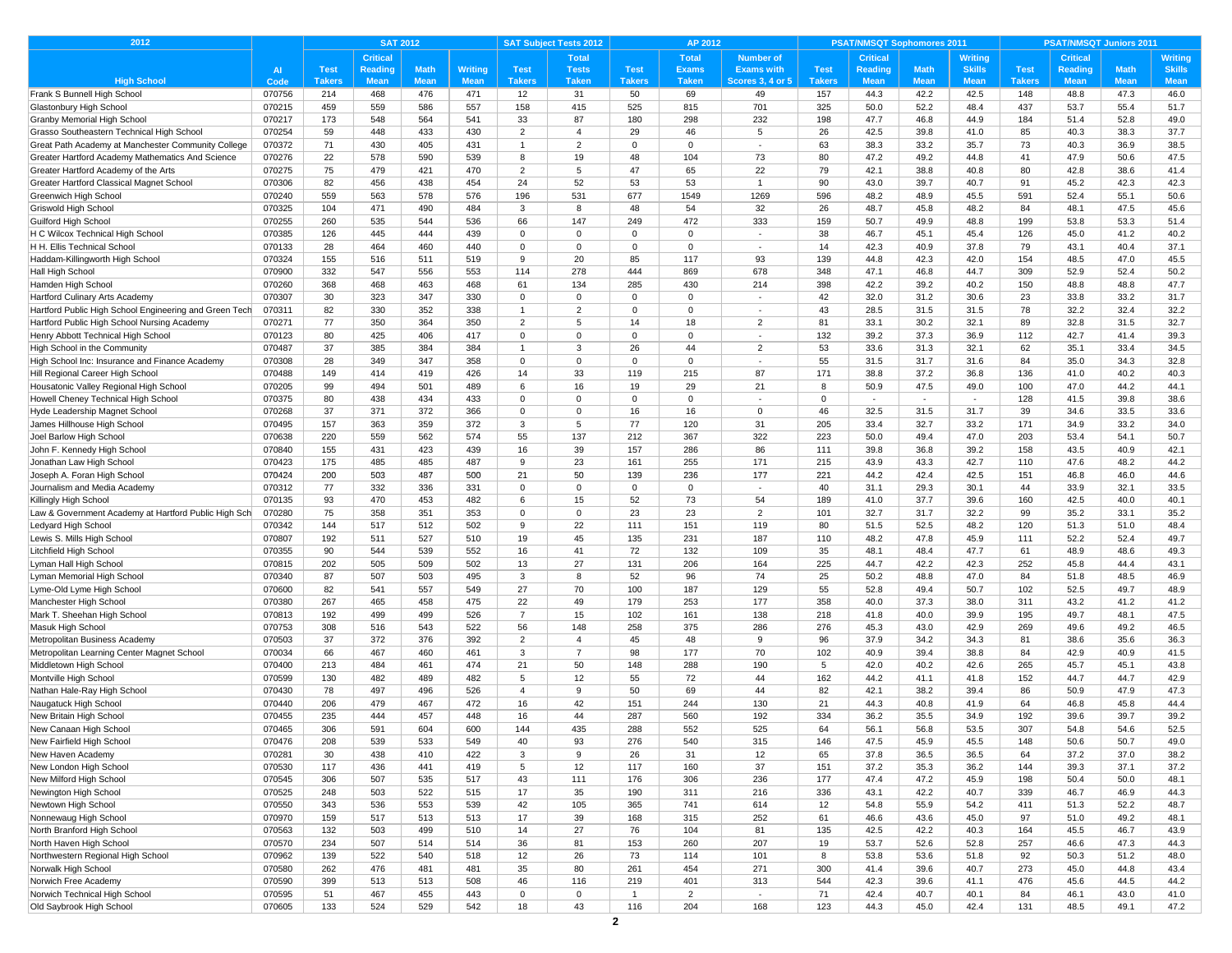| 2012                                                     |                  | <b>SAT 2012</b> |                 |             | <b>SAT Subject Tests 2012</b><br>AP 2012 |                |                |               |                |                          | <b>PSAT/NMSQT Sophomores 2011</b> |                 |              | <b>PSAT/NMSQT Juniors 2011</b> |               |                 |              |                |
|----------------------------------------------------------|------------------|-----------------|-----------------|-------------|------------------------------------------|----------------|----------------|---------------|----------------|--------------------------|-----------------------------------|-----------------|--------------|--------------------------------|---------------|-----------------|--------------|----------------|
|                                                          |                  |                 | <b>Critical</b> |             |                                          |                | <b>Total</b>   |               | <b>Total</b>   | <b>Number of</b>         |                                   | <b>Critical</b> |              | Writing                        |               | <b>Critical</b> |              | <b>Writing</b> |
|                                                          | AI               | <b>Test</b>     | Reading         | <b>Math</b> | <b>Writing</b>                           | <b>Test</b>    | <b>Tests</b>   | <b>Test</b>   | <b>Exams</b>   | <b>Exams with</b>        | <b>Test</b>                       | <b>Reading</b>  | <b>Math</b>  | <b>Skills</b>                  | <b>Test</b>   | <b>Reading</b>  | <b>Math</b>  | <b>Skills</b>  |
| <b>High School</b>                                       | Code             | <b>Takers</b>   | <b>Mean</b>     | <b>Mean</b> | <b>Mean</b>                              | <b>Takers</b>  | <b>Taken</b>   | <b>Takers</b> | <b>Taken</b>   | <b>Scores 3, 4 or 5</b>  | <b>Takers</b>                     | <b>Mean</b>     | <b>Mean</b>  | <b>Mean</b>                    | <b>Takers</b> | <b>Mean</b>     | <b>Mean</b>  | <b>Mean</b>    |
| Frank S Bunnell High School                              | 070756           | 214             | 468             | 476         | 471                                      | 12             | 31             | 50            | 69             | 49                       | 157                               | 44.3            | 42.2         | 42.5                           | 148           | 48.8            | 47.3         | 46.0           |
| Glastonbury High School                                  | 070215           | 459             | 559             | 586         | 557                                      | 158            | 415            | 525           | 815            | 701                      | 325                               | 50.0            | 52.2         | 48.4                           | 437           | 53.7            | 55.4         | 51.7           |
| Granby Memorial High School                              | 070217           | 173             | 548             | 564         | 541                                      | 33             | 87             | 180           | 298            | 232                      | 198                               | 47.7            | 46.8         | 44.9                           | 184           | 51.4            | 52.8         | 49.0           |
| Grasso Southeastern Technical High School                | 070254           | 59              | 448             | 433         | 430                                      | $\overline{2}$ | $\overline{4}$ | 29            | 46             | 5                        | 26                                | 42.5            | 39.8         | 41.0                           | 85            | 40.3            | 38.3         | 37.7           |
| Great Path Academy at Manchester Community College       | 070372           | 71              | 430             | 405         | 431                                      | $\overline{1}$ | $\overline{2}$ | $\mathbf 0$   | $\mathbf 0$    | $\sim$                   | 63                                | 38.3            | 33.2         | 35.7                           | 73            | 40.3            | 36.9         | 38.5           |
| Greater Hartford Academy Mathematics And Science         | 070276           | 22              | 578             | 590         | 539                                      | 8              | 19             | 48            | 104            | 73                       | 80                                | 47.2            | 49.2         | 44.8                           | 41            | 47.9            | 50.6         | 47.5           |
| Greater Hartford Academy of the Arts                     | 070275           | 75              | 479             | 421         | 470                                      | $\overline{2}$ | 5              | 47            | 65             | 22                       | 79                                | 42.1            | 38.8         | 40.8                           | 80            | 42.8            | 38.6         | 41.4           |
| Greater Hartford Classical Magnet School                 | 070306           | 82              | 456             | 438         | 454                                      | 24             | 52             | 53            | 53             | 1                        | 90                                | 43.0            | 39.7         | 40.7                           | 91            | 45.2            | 42.3         | 42.3           |
| Greenwich High School                                    | 070240           | 559             | 563<br>471      | 578         | 576                                      | 196<br>3       | 531<br>8       | 677<br>48     | 1549           | 1269<br>32               | 596<br>26                         | 48.2            | 48.9         | 45.5<br>48.2                   | 591<br>84     | 52.4            | 55.1<br>47.5 | 50.6           |
| Griswold High School                                     | 070325<br>070255 | 104<br>260      | 535             | 490<br>544  | 484<br>536                               | 66             | 147            | 249           | 54<br>472      | 333                      | 159                               | 48.7<br>50.7    | 45.8<br>49.9 | 48.8                           | 199           | 48.1<br>53.8    | 53.3         | 45.6<br>51.4   |
| Guilford High School<br>H C Wilcox Technical High School | 070385           | 126             | 445             | 444         | 439                                      | $\mathbf 0$    | $\mathbf 0$    | $\mathbf 0$   | $\mathbf 0$    | $\overline{\phantom{a}}$ | 38                                | 46.7            | 45.1         | 45.4                           | 126           | 45.0            | 41.2         | 40.2           |
| H H. Ellis Technical School                              | 070133           | 28              | 464             | 460         | 440                                      | $\Omega$       | $\mathbf 0$    | $\mathbf 0$   | 0              | $\sim$                   | 14                                | 42.3            | 40.9         | 37.8                           | 79            | 43.1            | 40.4         | 37.1           |
| Haddam-Killingworth High School                          | 070324           | 155             | 516             | 511         | 519                                      | 9              | 20             | 85            | 117            | 93                       | 139                               | 44.8            | 42.3         | 42.0                           | 154           | 48.5            | 47.0         | 45.5           |
| Hall High School                                         | 070900           | 332             | 547             | 556         | 553                                      | 114            | 278            | 444           | 869            | 678                      | 348                               | 47.1            | 46.8         | 44.7                           | 309           | 52.9            | 52.4         | 50.2           |
| Hamden High School                                       | 070260           | 368             | 468             | 463         | 468                                      | 61             | 134            | 285           | 430            | 214                      | 398                               | 42.2            | 39.2         | 40.2                           | 150           | 48.8            | 48.8         | 47.7           |
| Hartford Culinary Arts Academy                           | 070307           | 30              | 323             | 347         | 330                                      | $\Omega$       | $\mathbf 0$    | $\Omega$      | $\Omega$       | $\overline{\phantom{a}}$ | 42                                | 32.0            | 31.2         | 30.6                           | 23            | 33.8            | 33.2         | 31.7           |
| Hartford Public High School Engineering and Green Tech   | 070311           | 82              | 330             | 352         | 338                                      | $\mathbf{1}$   | $\overline{2}$ | 0             | $\mathbf 0$    | $\sim$                   | 43                                | 28.5            | 31.5         | 31.5                           | 78            | 32.2            | 32.4         | 32.2           |
| Hartford Public High School Nursing Academy              | 070271           | 77              | 350             | 364         | 350                                      | $\overline{2}$ | 5              | 14            | 18             | $\overline{2}$           | 81                                | 33.1            | 30.2         | 32.1                           | 89            | 32.8            | 31.5         | 32.7           |
| Henry Abbott Technical High School                       | 070123           | 80              | 425             | 406         | 417                                      | $\Omega$       | $\Omega$       | $\Omega$      | $\Omega$       | $\sim$                   | 132                               | 39.2            | 37.3         | 36.9                           | 112           | 42.7            | 41.4         | 39.3           |
| High School in the Community                             | 070487           | 37              | 385             | 384         | 384                                      | $\overline{1}$ | 3              | 26            | 44             | $\overline{2}$           | 53                                | 33.6            | 31.3         | 32.1                           | 62            | 35.1            | 33.4         | 34.5           |
| High School Inc: Insurance and Finance Academy           | 070308           | 28              | 349             | 347         | 358                                      | $\mathbf 0$    | $^{\circ}$     | $\Omega$      | $\Omega$       | $\overline{\phantom{a}}$ | 55                                | 31.5            | 31.7         | 31.6                           | 84            | 35.0            | 34.3         | 32.8           |
| Hill Regional Career High School                         | 070488           | 149             | 414             | 419         | 426                                      | 14             | 33             | 119           | 215            | 87                       | 171                               | 38.8            | 37.2         | 36.8                           | 136           | 41.0            | 40.2         | 40.3           |
| Housatonic Valley Regional High School                   | 070205           | 99              | 494             | 501         | 489                                      | 6              | 16             | 19            | 29             | 21                       | 8                                 | 50.9            | 47.5         | 49.0                           | 100           | 47.0            | 44.2         | 44.1           |
| Howell Cheney Technical High School                      | 070375           | 80              | 438             | 434         | 433                                      | $\mathbf 0$    | $\mathbf 0$    | $\mathbf 0$   | $\mathbf 0$    | $\sim$                   | $\mathbf 0$                       | $\sim$          | $\sim$       | $\sim$                         | 128           | 41.5            | 39.8         | 38.6           |
| Hyde Leadership Magnet School                            | 070268           | 37              | 371             | 372         | 366                                      | $\Omega$       | $\mathbf 0$    | 16            | 16             | $\Omega$                 | 46                                | 32.5            | 31.5         | 31.7                           | 39            | 34.6            | 33.5         | 33.6           |
| James Hillhouse High School                              | 070495           | 157             | 363             | 359         | 372                                      | 3              | 5              | 77            | 120            | 31                       | 205                               | 33.4            | 32.7         | 33.2                           | 171           | 34.9            | 33.2         | 34.0           |
| Joel Barlow High School                                  | 070638           | 220             | 559             | 562         | 574                                      | 55             | 137            | 212           | 367            | 322                      | 223                               | 50.0            | 49.4         | 47.0                           | 203           | 53.4            | 54.1         | 50.7           |
| John F. Kennedy High School                              | 070840           | 155             | 431             | 423         | 439                                      | 16             | 39             | 157           | 286            | 86                       | 111                               | 39.8            | 36.8         | 39.2                           | 158           | 43.5            | 40.9         | 42.1           |
| Jonathan Law High School                                 | 070423           | 175             | 485             | 485         | 487                                      | 9              | 23             | 161           | 255            | 171                      | 215                               | 43.9            | 43.3         | 42.7                           | 110           | 47.6            | 48.2         | 44.2           |
| Joseph A. Foran High School                              | 070424           | 200             | 503             | 487         | 500                                      | 21             | 50             | 139           | 236            | 177                      | 221                               | 44.2            | 42.4         | 42.5                           | 151           | 46.8            | 46.0         | 44.6           |
| Journalism and Media Academy                             | 070312           | 77              | 332             | 336         | 331                                      | $\mathbf 0$    | $\mathbf 0$    | 0             | $\mathbf 0$    | $\sim$                   | 40                                | 31.1            | 29.3         | 30.1                           | 44            | 33.9            | 32.1         | 33.5           |
| Killingly High School                                    | 070135           | 93              | 470             | 453         | 482                                      | 6              | 15             | 52            | 73             | 54                       | 189                               | 41.0            | 37.7         | 39.6                           | 160           | 42.5            | 40.0         | 40.1           |
| Law & Government Academy at Hartford Public High Sch     | 070280           | 75              | 358             | 351         | 353                                      | $\Omega$       | $\mathbf 0$    | 23            | 23             | $\overline{2}$           | 101                               | 32.7            | 31.7         | 32.2                           | 99            | 35.2            | 33.1         | 35.2           |
| Ledyard High School                                      | 070342           | 144             | 517             | 512         | 502                                      | 9              | 22             | 111           | 151            | 119                      | 80                                | 51.5            | 52.5         | 48.2                           | 120           | 51.3            | 51.0         | 48.4           |
| Lewis S. Mills High School                               | 070807           | 192             | 511             | 527         | 510                                      | 19             | 45             | 135           | 231            | 187                      | 110                               | 48.2            | 47.8         | 45.9                           | 111           | 52.2            | 52.4         | 49.7           |
| Litchfield High School                                   | 070355           | 90              | 544             | 539         | 552                                      | 16             | 41             | 72            | 132            | 109                      | 35                                | 48.1            | 48.4         | 47.7                           | 61            | 48.9            | 48.6         | 49.3           |
| Lyman Hall High School                                   | 070815           | 202             | 505             | 509         | 502                                      | 13<br>3        | 27             | 131           | 206            | 164                      | 225                               | 44.7            | 42.2         | 42.3                           | 252           | 45.8            | 44.4         | 43.1           |
| Lyman Memorial High School<br>Lyme-Old Lyme High School  | 070340<br>070600 | 87<br>82        | 507<br>541      | 503<br>557  | 495<br>549                               | 27             | 8<br>70        | 52<br>100     | 96<br>187      | 74<br>129                | 25<br>55                          | 50.2<br>52.8    | 48.8<br>49.4 | 47.0<br>50.7                   | 84<br>102     | 51.8<br>52.5    | 48.5<br>49.7 | 46.9<br>48.9   |
| Manchester High School                                   | 070380           | 267             | 465             | 458         | 475                                      | 22             | 49             | 179           | 253            | 177                      | 358                               | 40.0            | 37.3         | 38.0                           | 311           | 43.2            | 41.2         | 41.2           |
| Mark T. Sheehan High School                              | 070813           | 192             | 499             | 499         | 526                                      | $\overline{7}$ | 15             | 102           | 161            | 138                      | 218                               | 41.8            | 40.0         | 39.9                           | 195           | 49.7            | 48.1         | 47.5           |
| Masuk High School                                        | 070753           | 308             | 516             | 543         | 522                                      | 56             | 148            | 258           | 375            | 286                      | 276                               | 45.3            | 43.0         | 42.9                           | 269           | 49.6            | 49.2         | 46.5           |
| Metropolitan Business Academy                            | 070503           | 37              | 372             | 376         | 392                                      | $\overline{2}$ | $\overline{4}$ | 45            | 48             | 9                        | 96                                | 37.9            | 34.2         | 34.3                           | 81            | 38.6            | 35.6         | 36.3           |
| Metropolitan Learning Center Magnet School               | 070034           | 66              | 467             | 460         | 461                                      | 3              | $\overline{7}$ | 98            | 177            | 70                       | 102                               | 40.9            | 39.4         | 38.8                           | 84            | 42.9            | 40.9         | 41.5           |
| Middletown High School                                   | 070400           | 213             | 484             | 461         | 474                                      | 21             | 50             | 148           | 288            | 190                      | 5                                 | 42.0            | 40.2         | 42.6                           | 265           | 45.7            | 45.1         | 43.8           |
| Montville High School                                    | 070599           | 130             | 482             | 489         | 482                                      | 5              | 12             | 55            | 72             | 44                       | 162                               | 44.2            | 41.1         | 41.8                           | 152           | 44.7            | 44.7         | 42.9           |
| Nathan Hale-Ray High School                              | 070430           | 78              | 497             | 496         | 526                                      | $\overline{4}$ | 9              | 50            | 69             | 44                       | 82                                | 42.1            | 38.2         | 39.4                           | 86            | 50.9            | 47.9         | 47.3           |
| Naugatuck High Schoo                                     | 070440           | 206             | 479             | 467         | 472                                      | 16             | 42             | 151           | 244            | 130                      | 21                                | 44.3            | 40.8         | 41.9                           | 64            | 46.8            | 45.8         | 44.4           |
| New Britain High School                                  | 070455           | 235             | 444             | 457         | 448                                      | 16             | 44             | 287           | 560            | 192                      | 334                               | 36.2            | 35.5         | 34.9                           | 192           | 39.6            | 39.7         | 39.2           |
| New Canaan High School                                   | 070465           | 306             | 591             | 604         | 600                                      | 144            | 435            | 288           | 552            | 525                      | 64                                | 56.1            | 56.8         | 53.5                           | 307           | 54.8            | 54.6         | 52.5           |
| New Fairfield High School                                | 070476           | 208             | 539             | 533         | 549                                      | 40             | 93             | 276           | 540            | 315                      | 146                               | 47.5            | 45.9         | 45.5                           | 148           | 50.6            | 50.7         | 49.0           |
| New Haven Academy                                        | 070281           | 30              | 438             | 410         | 422                                      | 3              | 9              | 26            | 31             | 12                       | 65                                | 37.8            | 36.5         | 36.5                           | 64            | 37.2            | 37.0         | 38.2           |
| New London High School                                   | 070530           | 117             | 436             | 441         | 419                                      | 5              | 12             | 117           | 160            | 37                       | 151                               | 37.2            | 35.3         | 36.2                           | 144           | 39.3            | 37.1         | 37.2           |
| New Milford High School                                  | 070545           | 306             | 507             | 535         | 517                                      | 43             | 111            | 176           | 306            | 236                      | 177                               | 47.4            | 47.2         | 45.9                           | 198           | 50.4            | 50.0         | 48.1           |
| Newington High School                                    | 070525           | 248             | 503             | 522         | 515                                      | 17             | 35             | 190           | 311            | 216                      | 336                               | 43.1            | 42.2         | 40.7                           | 339           | 46.7            | 46.9         | 44.3           |
| Newtown High School                                      | 070550           | 343             | 536             | 553         | 539                                      | 42             | 105            | 365           | 741            | 614                      | 12                                | 54.8            | 55.9         | 54.2                           | 411           | 51.3            | 52.2         | 48.7           |
| Nonnewaug High School                                    | 070970           | 159             | 517             | 513         | 513                                      | 17             | 39             | 168           | 315            | 252                      | 61                                | 46.6            | 43.6         | 45.0                           | 97            | 51.0            | 49.2         | 48.1           |
| North Branford High School                               | 070563           | 132             | 503             | 499         | 510                                      | 14             | 27             | 76            | 104            | 81                       | 135                               | 42.5            | 42.2         | 40.3                           | 164           | 45.5            | 46.7         | 43.9           |
| North Haven High School                                  | 070570           | 234             | 507             | 514         | 514                                      | 36             | 81             | 153           | 260            | 207                      | 19                                | 53.7            | 52.6         | 52.8                           | 257           | 46.6            | 47.3         | 44.3           |
| Northwestern Regional High School                        | 070962           | 139             | 522             | 540         | 518                                      | 12             | 26             | 73            | 114            | 101                      | 8                                 | 53.8            | 53.6         | 51.8                           | 92            | 50.3            | 51.2         | 48.0           |
| Norwalk High School                                      | 070580           | 262             | 476             | 481         | 481                                      | 35             | 80             | 261           | 454            | 271                      | 300                               | 41.4            | 39.6         | 40.7                           | 273           | 45.0            | 44.8         | 43.4           |
| Norwich Free Academy                                     | 070590           | 399             | 513             | 513         | 508                                      | 46             | 116            | 219           | 401            | 313                      | 544                               | 42.3            | 39.6         | 41.1                           | 476           | 45.6            | 44.5         | 44.2           |
| Norwich Technical High School                            | 070595           | 51              | 467             | 455         | 443                                      | $\mathbf 0$    | $\mathsf 0$    | $\mathbf{1}$  | $\overline{2}$ | $\sim$                   | 71                                | 42.4            | 40.7         | 40.1                           | 84            | 46.1            | 43.0         | 41.0           |
| Old Saybrook High School                                 | 070605           | 133             | 524             | 529         | 542                                      | 18             | 43             | 116           | 204            | 168                      | 123                               | 44.3            | 45.0         | 42.4                           | 131           | 48.5            | 49.1         | 47.2           |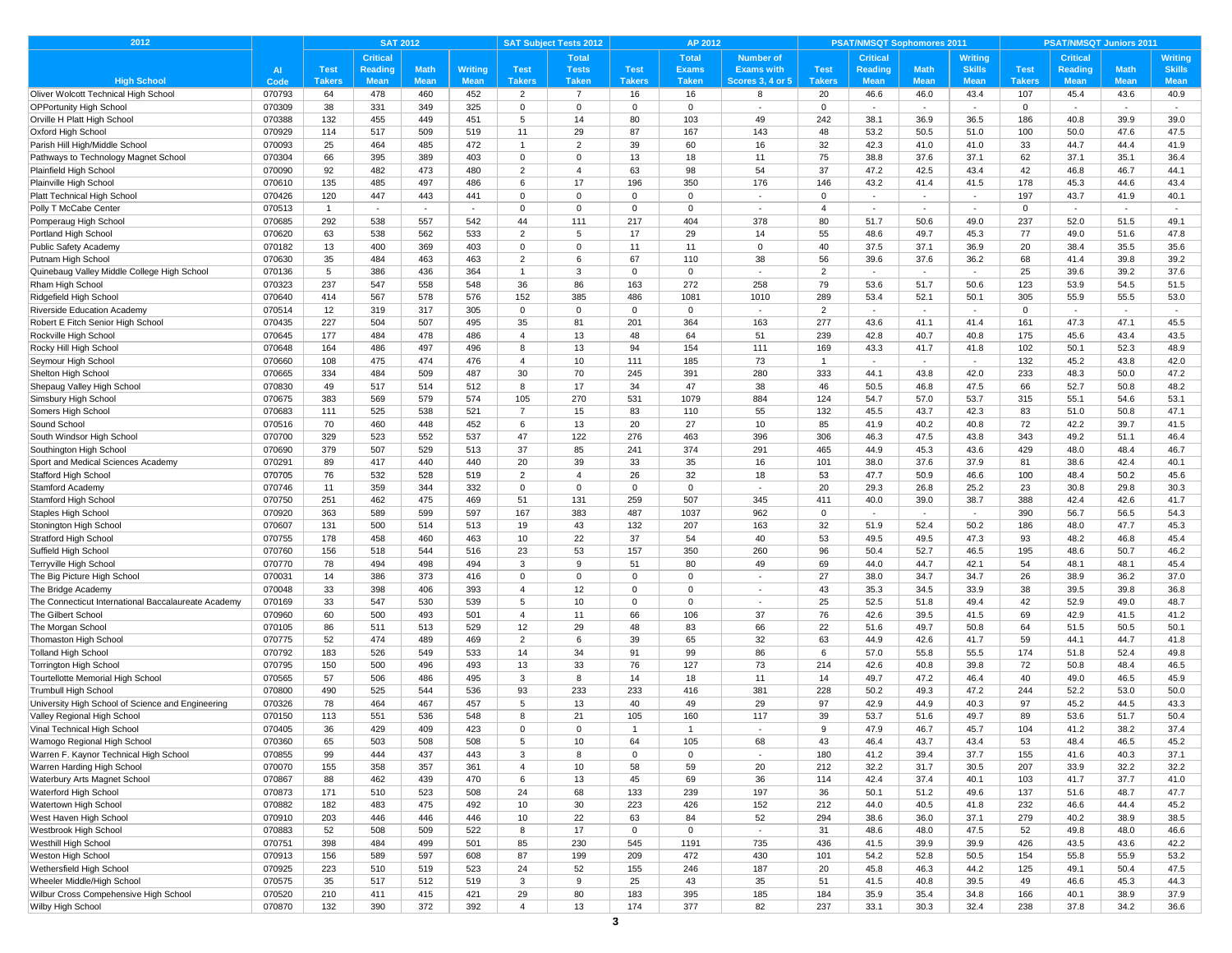| <b>Critical</b><br><b>Total</b><br><b>Total</b><br><b>Number of</b><br>Critical<br><b>Critical</b><br>Writing<br>Writing<br><b>Math</b><br>$\overline{A}$<br><b>Test</b><br><b>Math</b><br>Writing<br><b>Test</b><br><b>Tests</b><br><b>Test</b><br><b>Exams</b><br><b>Exams with</b><br><b>Test</b><br>Reading<br><b>Skills</b><br><b>Test</b><br><b>Reading</b><br><b>Math</b><br><b>Skills</b><br>Reading<br><b>High School</b><br><b>Mean</b><br><b>Mean</b><br><b>Mean</b><br><b>Takers</b><br><b>Takers</b><br><b>Mean</b><br><b>Takers</b><br><b>Taken</b><br><b>Takers</b><br><b>Taken</b><br><b>Scores 3, 4 or 5</b><br><b>Takers</b><br><b>Mean</b><br><b>Mean</b><br><b>Mean</b><br><b>Mean</b><br><b>Mean</b><br>Code<br>Oliver Wolcott Technical High School<br>070793<br>64<br>478<br>460<br>452<br>$\overline{2}$<br>$\overline{7}$<br>16<br>16<br>8<br>20<br>46.6<br>46.0<br>43.4<br>107<br>45.4<br>43.6<br>40.9<br>38<br>$\mathbf 0$<br>$\mathbf 0$<br>$\overline{0}$<br>$\mathbf 0$<br><b>OPPortunity High School</b><br>070309<br>331<br>349<br>325<br>$\mathbf 0$<br>$\Omega$<br>$\blacksquare$<br>$\sim$<br>$\overline{\phantom{a}}$<br>$\overline{\phantom{a}}$<br>$\sim$<br>070388<br>132<br>455<br>449<br>451<br>80<br>103<br>49<br>242<br>38.1<br>36.9<br>36.5<br>186<br>40.8<br>39.9<br>39.0<br>5<br>14<br>87<br>167<br>070929<br>114<br>517<br>509<br>11<br>29<br>143<br>48<br>53.2<br>50.5<br>51.0<br>100<br>50.0<br>47.6<br>47.5<br>519<br>25<br>39<br>32<br>070093<br>464<br>485<br>472<br>$\overline{2}$<br>60<br>16<br>42.3<br>41.0<br>41.0<br>33<br>44.7<br>44.4<br>41.9<br>$\overline{1}$<br>75<br>37.6<br>070304<br>66<br>395<br>389<br>403<br>$\mathbf 0$<br>$\mathbf 0$<br>13<br>18<br>11<br>38.8<br>37.1<br>62<br>37.1<br>35.1<br>36.4<br>63<br>54<br>37<br>070090<br>92<br>482<br>473<br>480<br>$\overline{2}$<br>$\overline{4}$<br>98<br>47.2<br>42.5<br>43.4<br>42<br>46.8<br>46.7<br>44.1<br>Plainville High School<br>070610<br>135<br>485<br>497<br>486<br>6<br>17<br>196<br>350<br>176<br>146<br>43.2<br>41.4<br>41.5<br>178<br>45.3<br>44.6<br>43.4<br>$\Omega$<br>070426<br>120<br>447<br>443<br>441<br>$\overline{0}$<br>$\Omega$<br>$\Omega$<br>197<br>43.7<br>40.1<br>$\Omega$<br>41.9<br>$\blacksquare$<br>$\overline{\phantom{a}}$<br>$\overline{\phantom{a}}$<br>Polly T McCabe Center<br>070513<br>$\mathbf{0}$<br>$\mathbf 0$<br>$\overline{0}$<br>$\overline{4}$<br>$\overline{1}$<br>$\Omega$<br>$\Omega$<br>$\sim$<br>$\sim$<br>$\overline{\phantom{a}}$<br>$\sim$<br>$\sim$<br>$\overline{\phantom{a}}$<br>$\sim$<br>$\overline{\phantom{a}}$<br>$\sim$<br>292<br>538<br>557<br>542<br>44<br>111<br>217<br>404<br>378<br>50.6<br>49.0<br>237<br>52.0<br>Pomperaug High Schoo<br>070685<br>80<br>51.7<br>51.5<br>49.1<br>070620<br>538<br>562<br>533<br>$\overline{2}$<br>17<br>29<br>14<br>55<br>48.6<br>49.7<br>77<br>49.0<br>47.8<br>Portland High School<br>63<br>5<br>45.3<br>51.6<br>11<br>40<br>070182<br>13<br>400<br>369<br>403<br>$\mathbf 0$<br>$\mathbf 0$<br>11<br>$\mathbf 0$<br>37.5<br>37.1<br>36.9<br>20<br>35.5<br>35.6<br>Public Safety Academy<br>38.4<br>070630<br>35<br>484<br>463<br>67<br>38<br>56<br>39.6<br>37.6<br>Putnam High School<br>463<br>$\overline{2}$<br>6<br>110<br>36.2<br>68<br>41.4<br>39.8<br>39.2<br>$\overline{0}$<br>$\overline{2}$<br>37.6<br>070136<br>5<br>386<br>436<br>364<br>$\overline{1}$<br>3<br>$\overline{0}$<br>25<br>39.6<br>39.2<br>Quinebaug Valley Middle College High School<br>$\sim$<br>$\sim$<br>$\sim$<br>237<br>558<br>36<br>86<br>163<br>272<br>258<br>79<br>50.6<br>123<br>53.9<br>54.5<br>51.5<br>Rham High School<br>070323<br>547<br>548<br>53.6<br>51.7<br>070640<br>414<br>567<br>578<br>576<br>152<br>385<br>486<br>1081<br>1010<br>289<br>53.4<br>52.1<br>50.1<br>305<br>55.9<br>55.5<br>53.0<br>Ridgefield High School<br>12<br>$\mathbf 0$<br>$\overline{2}$<br>Riverside Education Academy<br>070514<br>319<br>317<br>305<br>$\mathbf 0$<br>$\mathbf 0$<br>0<br>$\Omega$<br>$\overline{\phantom{a}}$<br>$\overline{\phantom{a}}$<br>$\overline{\phantom{a}}$<br>$\overline{\phantom{a}}$<br>$\overline{\phantom{a}}$<br>070435<br>227<br>504<br>507<br>495<br>35<br>81<br>201<br>364<br>163<br>277<br>43.6<br>41.1<br>41.4<br>161<br>47.3<br>47.1<br>45.5<br>Robert E Fitch Senior High School<br>51<br>239<br>070645<br>177<br>484<br>478<br>486<br>13<br>48<br>64<br>42.8<br>40.7<br>40.8<br>175<br>45.6<br>43.4<br>43.5<br>Rockville High School<br>$\overline{4}$<br>Rocky Hill High School<br>070648<br>164<br>486<br>497<br>496<br>13<br>94<br>154<br>111<br>169<br>43.3<br>102<br>50.1<br>52.3<br>48.9<br>-8<br>41.7<br>41.8<br>10<br>185<br>73<br>132<br>070660<br>108<br>475<br>474<br>476<br>$\overline{4}$<br>111<br>45.2<br>43.8<br>42.0<br>Seymour High School<br>$\overline{1}$<br>$\sim$<br>$\sim$<br>70<br>280<br>333<br>070665<br>334<br>484<br>509<br>487<br>30<br>245<br>391<br>44.1<br>43.8<br>42.0<br>233<br>48.3<br>50.0<br>47.2<br>Shelton High School<br>17<br>34<br>47<br>38<br>47.5<br>52.7<br>070830<br>49<br>517<br>514<br>512<br>8<br>46<br>50.5<br>46.8<br>66<br>50.8<br>48.2<br>Shepaug Valley High School<br>383<br>574<br>270<br>531<br>1079<br>884<br>124<br>53.7<br>53.1<br>Simsbury High School<br>070675<br>569<br>579<br>105<br>54.7<br>57.0<br>315<br>55.1<br>54.6<br>132<br>070683<br>111<br>525<br>538<br>521<br>$\overline{7}$<br>15<br>83<br>110<br>55<br>45.5<br>43.7<br>42.3<br>83<br>51.0<br>50.8<br>47.1<br>Somers High School<br>20<br>27<br>85<br>70<br>460<br>448<br>452<br>6<br>13<br>10<br>41.9<br>40.2<br>40.8<br>72<br>42.2<br>39.7<br>41.5<br>Sound School<br>070516<br>070700<br>329<br>523<br>552<br>537<br>47<br>122<br>276<br>463<br>396<br>306<br>46.3<br>47.5<br>43.8<br>343<br>49.2<br>51.1<br>46.4<br>South Windsor High School<br>070690<br>379<br>507<br>37<br>85<br>241<br>374<br>291<br>465<br>44.9<br>45.3<br>43.6<br>429<br>48.0<br>48.4<br>46.7<br>529<br>513<br>070291<br>89<br>417<br>440<br>440<br>20<br>39<br>33<br>35<br>16<br>101<br>38.0<br>37.6<br>37.9<br>81<br>38.6<br>42.4<br>40.1<br>26<br>18<br>070705<br>76<br>532<br>528<br>$\overline{2}$<br>$\overline{4}$<br>32<br>53<br>47.7<br>50.9<br>46.6<br>100<br>48.4<br>50.2<br>45.6<br>519<br>359<br>$\mathbf 0$<br>20<br>29.3<br>26.8<br>25.2<br>23<br>30.8<br>070746<br>11<br>344<br>332<br>$\mathbf 0$<br>$\overline{0}$<br>0<br>29.8<br>30.3<br>070750<br>251<br>462<br>475<br>469<br>51<br>131<br>259<br>507<br>345<br>411<br>40.0<br>39.0<br>38.7<br>388<br>42.4<br>42.6<br>41.7<br>070920<br>363<br>589<br>599<br>597<br>167<br>383<br>487<br>1037<br>962<br>$\mathbf 0$<br>390<br>56.7<br>56.5<br>54.3<br>$\overline{\phantom{a}}$<br>$\blacksquare$<br>$\overline{\phantom{a}}$<br>070607<br>131<br>500<br>514<br>513<br>19<br>43<br>132<br>207<br>163<br>32<br>51.9<br>52.4<br>50.2<br>186<br>48.0<br>47.7<br>45.3<br>22<br>37<br>070755<br>178<br>458<br>460<br>463<br>10<br>54<br>40<br>53<br>49.5<br>49.5<br>47.3<br>93<br>48.2<br>46.8<br>45.4<br>53<br>157<br>350<br>260<br>96<br>070760<br>156<br>518<br>544<br>516<br>23<br>50.4<br>52.7<br>46.5<br>195<br>48.6<br>50.7<br>46.2<br>3<br>9<br>51<br>80<br>49<br>69<br>070770<br>78<br>494<br>498<br>494<br>44.0<br>44.7<br>42.1<br>54<br>48.1<br>48.1<br>45.4<br>070031<br>14<br>386<br>373<br>$\Omega$<br>27<br>38.0<br>34.7<br>34.7<br>26<br>38.9<br>36.2<br>37.0<br>416<br>$\Omega$<br>$\mathbf 0$<br>$\Omega$<br>070048<br>33<br>398<br>406<br>393<br>$\overline{4}$<br>12<br>$\overline{0}$<br>$\mathbf 0$<br>43<br>35.3<br>34.5<br>33.9<br>38<br>39.5<br>39.8<br>36.8<br>$\sim$<br>5<br>10<br>$\mathbf 0$<br>25<br>33<br>547<br>530<br>539<br>$\Omega$<br>52.5<br>51.8<br>49.4<br>42<br>52.9<br>49.0<br>48.7<br>070169<br>070960<br>60<br>500<br>493<br>501<br>66<br>106<br>37<br>76<br>42.6<br>39.5<br>41.5<br>69<br>42.9<br>41.5<br>41.2<br>$\overline{4}$<br>11<br>48<br>66<br>22<br>86<br>12<br>29<br>83<br>51.6<br>49.7<br>50.8<br>64<br>51.5<br>50.1<br>070105<br>511<br>513<br>529<br>50.5<br>070775<br>52<br>474<br>489<br>469<br>$\overline{2}$<br>6<br>39<br>65<br>32<br>63<br>44.9<br>42.6<br>59<br>44.1<br>44.7<br>Thomaston High School<br>41.7<br>41.8<br>99<br>86<br>070792<br>183<br>526<br>533<br>14<br>34<br>91<br>6<br>57.0<br>55.8<br>55.5<br>174<br>51.8<br>52.4<br>49.8<br><b>Tolland High Schoo</b><br>549<br>150<br>500<br>496<br>493<br>13<br>33<br>76<br>127<br>73<br>214<br>42.6<br>40.8<br>39.8<br>48.4<br>46.5<br>Torrington High School<br>070795<br>72<br>50.8<br>070565<br>57<br>506<br>486<br>495<br>3<br>8<br>14<br>18<br>11<br>14<br>49.7<br>47.2<br>46.4<br>40<br>49.0<br>46.5<br>45.9<br><b>Tourtellotte Memorial High School</b><br>233<br>381<br>228<br>070800<br>490<br>525<br>544<br>536<br>93<br>233<br>416<br>50.2<br>49.3<br>47.2<br>244<br>52.2<br>53.0<br>50.0<br><b>Trumbull High School</b><br>070326<br>78<br>464<br>467<br>457<br>5<br>13<br>40<br>49<br>29<br>97<br>42.9<br>44.9<br>40.3<br>97<br>45.2<br>44.5<br>43.3<br>University High School of Science and Engineering<br>113<br>551<br>536<br>548<br>21<br>105<br>117<br>39<br>53.7<br>49.7<br>53.6<br>50.4<br>Valley Regional High School<br>070150<br>8<br>160<br>51.6<br>89<br>51.7<br>Vinal Technical High School<br>070405<br>36<br>429<br>409<br>423<br>$\mathbf 0$<br>$\mathbf 0$<br>$\overline{1}$<br>$\overline{1}$<br>9<br>47.9<br>46.7<br>45.7<br>104<br>41.2<br>38.2<br>37.4<br>508<br>5<br>10<br>64<br>105<br>68<br>43<br>46.4<br>43.7<br>43.4<br>53<br>48.4<br>46.5<br>Wamogo Regional High School<br>070360<br>65<br>503<br>508<br>45.2<br>444<br>437<br>443<br>180<br>39.4<br>37.7<br>155<br>41.6<br>37.1<br>Warren F. Kaynor Technical High School<br>070855<br>99<br>3<br>8<br>$\mathbf{0}$<br>$\mathbf 0$<br>41.2<br>40.3<br>$\sim$<br>58<br>Warren Harding High School<br>070070<br>155<br>358<br>357<br>361<br>$\overline{4}$<br>10<br>59<br>20<br>212<br>32.2<br>31.7<br>30.5<br>207<br>33.9<br>32.2<br>32.2<br>45<br>69<br>070867<br>88<br>462<br>439<br>470<br>6<br>13<br>36<br>114<br>42.4<br>37.4<br>40.1<br>103<br>41.7<br>37.7<br>41.0<br>Waterbury Arts Magnet School<br>070873<br>171<br>523<br>508<br>68<br>133<br>239<br>197<br>36<br>50.1<br>51.2<br>49.6<br>137<br>51.6<br>48.7<br>47.7<br>Waterford High School<br>510<br>24<br>182<br>492<br>10<br>30<br>223<br>426<br>152<br>212<br>40.5<br>41.8<br>232<br>45.2<br>Watertown High School<br>070882<br>483<br>475<br>44.0<br>46.6<br>44.4<br>203<br>446<br>446<br>446<br>10<br>22<br>63<br>84<br>52<br>294<br>38.6<br>36.0<br>37.1<br>279<br>40.2<br>38.9<br>38.5<br>West Haven High School<br>070910<br>17<br>$\mathbf 0$<br>070883<br>52<br>508<br>509<br>522<br>8<br>$\mathbf 0$<br>31<br>48.6<br>48.0<br>47.5<br>52<br>49.8<br>46.6<br>48.0<br>$\sim$<br>398<br>484<br>499<br>501<br>230<br>545<br>1191<br>735<br>436<br>41.5<br>39.9<br>39.9<br>426<br>43.5<br>43.6<br>Westhill High School<br>070751<br>85<br>42.2<br>87<br>199<br>209<br>472<br>430<br>101<br>070913<br>156<br>589<br>597<br>608<br>54.2<br>52.8<br>50.5<br>154<br>55.8<br>55.9<br>53.2<br>52<br>187<br>20<br>070925<br>223<br>523<br>24<br>155<br>246<br>45.8<br>46.3<br>44.2<br>125<br>49.1<br>50.4<br>47.5<br>510<br>519<br>070575<br>35<br>519<br>$\mathbf{3}$<br>9<br>25<br>43<br>35<br>51<br>41.5<br>40.8<br>39.5<br>49<br>46.6<br>45.3<br>44.3<br>517<br>512<br>184<br>35.4<br>34.8<br>070520<br>210<br>411<br>415<br>421<br>29<br>80<br>183<br>395<br>185<br>35.9<br>166<br>40.1<br>38.9<br>37.9<br>070870<br>132<br>390<br>372<br>392<br>13<br>174<br>377<br>82<br>237<br>33.1<br>30.3<br>32.4<br>238<br>37.8<br>34.2<br>$\overline{4}$<br>36.6 | 2012                                                |  | <b>SAT 2012</b> |  | <b>SAT Subject Tests 2012</b> | AP 2012 |  | <b>PSAT/NMSQT Sophomores 2011</b> |  | <b>PSAT/NMSQT Juniors 2011</b> |  |  |  |  |
|-----------------------------------------------------------------------------------------------------------------------------------------------------------------------------------------------------------------------------------------------------------------------------------------------------------------------------------------------------------------------------------------------------------------------------------------------------------------------------------------------------------------------------------------------------------------------------------------------------------------------------------------------------------------------------------------------------------------------------------------------------------------------------------------------------------------------------------------------------------------------------------------------------------------------------------------------------------------------------------------------------------------------------------------------------------------------------------------------------------------------------------------------------------------------------------------------------------------------------------------------------------------------------------------------------------------------------------------------------------------------------------------------------------------------------------------------------------------------------------------------------------------------------------------------------------------------------------------------------------------------------------------------------------------------------------------------------------------------------------------------------------------------------------------------------------------------------------------------------------------------------------------------------------------------------------------------------------------------------------------------------------------------------------------------------------------------------------------------------------------------------------------------------------------------------------------------------------------------------------------------------------------------------------------------------------------------------------------------------------------------------------------------------------------------------------------------------------------------------------------------------------------------------------------------------------------------------------------------------------------------------------------------------------------------------------------------------------------------------------------------------------------------------------------------------------------------------------------------------------------------------------------------------------------------------------------------------------------------------------------------------------------------------------------------------------------------------------------------------------------------------------------------------------------------------------------------------------------------------------------------------------------------------------------------------------------------------------------------------------------------------------------------------------------------------------------------------------------------------------------------------------------------------------------------------------------------------------------------------------------------------------------------------------------------------------------------------------------------------------------------------------------------------------------------------------------------------------------------------------------------------------------------------------------------------------------------------------------------------------------------------------------------------------------------------------------------------------------------------------------------------------------------------------------------------------------------------------------------------------------------------------------------------------------------------------------------------------------------------------------------------------------------------------------------------------------------------------------------------------------------------------------------------------------------------------------------------------------------------------------------------------------------------------------------------------------------------------------------------------------------------------------------------------------------------------------------------------------------------------------------------------------------------------------------------------------------------------------------------------------------------------------------------------------------------------------------------------------------------------------------------------------------------------------------------------------------------------------------------------------------------------------------------------------------------------------------------------------------------------------------------------------------------------------------------------------------------------------------------------------------------------------------------------------------------------------------------------------------------------------------------------------------------------------------------------------------------------------------------------------------------------------------------------------------------------------------------------------------------------------------------------------------------------------------------------------------------------------------------------------------------------------------------------------------------------------------------------------------------------------------------------------------------------------------------------------------------------------------------------------------------------------------------------------------------------------------------------------------------------------------------------------------------------------------------------------------------------------------------------------------------------------------------------------------------------------------------------------------------------------------------------------------------------------------------------------------------------------------------------------------------------------------------------------------------------------------------------------------------------------------------------------------------------------------------------------------------------------------------------------------------------------------------------------------------------------------------------------------------------------------------------------------------------------------------------------------------------------------------------------------------------------------------------------------------------------------------------------------------------------------------------------------------------------------------------------------------------------------------------------------------------------------------------------------------------------------------------------------------------------------------------------------------------------------------------------------------------------------------------------------------------------------------------------------------------------------------------------------------------------------------------------------------------------------------------------------------------------------------------------------------------------------------------------------------------------------------------------------------------------------------------------------------------------------------------------------------------------------------------------------------------------------------------------------------------------------------------------------------------------------------------------------------------------------------------------------------------------------------------------------------------------------------------------------------------------------------------------------------------------------------------------------------------------------------------------------------------------------------------------------------------------------------------------------------------------------------------------------------------------------------------------------------------------------------------------------------------------------------------------------------------------------------------------------------------------------------------------------------------------------------------------------------------------------------------------------------------------------------------------------------------------------------------------------------------------------------------------------------------------------------------------------------------------------------------------------------------------------------------------------------------------------------------------------------------------------------------------------------------------------------------------------------------------------------------------------------------------------------------------------------------------------------------------------------------------------------------------------------------------------------------------------------------------------------------------------------------------------------------------------------------------------------------------------------------------------------------------------------------------------------------------------------------------------------------------------------------------------------------------------------------------------------------------------------------------------------------------------------------------------------------------------------------------------------------------------------------------------------------------------------------------------------------------------------------------------------------------------------------------------------------------------------------------------------------------------------------------------------------------------------------------------------------------------------------------------------------------------------------------------------------------------------------------------------------------------------------------------------------------------------------------------------------------------------------------------------------------------------------------------------------------------------------------------------------------------------------------------------------------------------------------------------------------------------------------------------------------------------------------------------------------------------------------------------------------------------------------------------------------------------------------------------------------------------------------------------------------------------------------------------------------------------------------------------|-----------------------------------------------------|--|-----------------|--|-------------------------------|---------|--|-----------------------------------|--|--------------------------------|--|--|--|--|
|                                                                                                                                                                                                                                                                                                                                                                                                                                                                                                                                                                                                                                                                                                                                                                                                                                                                                                                                                                                                                                                                                                                                                                                                                                                                                                                                                                                                                                                                                                                                                                                                                                                                                                                                                                                                                                                                                                                                                                                                                                                                                                                                                                                                                                                                                                                                                                                                                                                                                                                                                                                                                                                                                                                                                                                                                                                                                                                                                                                                                                                                                                                                                                                                                                                                                                                                                                                                                                                                                                                                                                                                                                                                                                                                                                                                                                                                                                                                                                                                                                                                                                                                                                                                                                                                                                                                                                                                                                                                                                                                                                                                                                                                                                                                                                                                                                                                                                                                                                                                                                                                                                                                                                                                                                                                                                                                                                                                                                                                                                                                                                                                                                                                                                                                                                                                                                                                                                                                                                                                                                                                                                                                                                                                                                                                                                                                                                                                                                                                                                                                                                                                                                                                                                                                                                                                                                                                                                                                                                                                                                                                                                                                                                                                                                                                                                                                                                                                                                                                                                                                                                                                                                                                                                                                                                                                                                                                                                                                                                                                                                                                                                                                                                                                                                                                                                                                                                                                                                                                                                                                                                                                                                                                                                                                                                                                                                                                                                                                                                                                                                                                                                                                                                                                                                                                                                                                                                                                                                                                                                                                                                                                                                                                                                                                                                                                                                                                                                                                                                                                                                                                                                                                                                                                                                                                                                                                                                                                                                                                                                                                                                                                                                                                                                                                                                                                                                                                                                                                                                                                                                                                                                                                                                                                                                                                                                                                                                                                                                                                                                                                                                                                                                                                             |                                                     |  |                 |  |                               |         |  |                                   |  |                                |  |  |  |  |
|                                                                                                                                                                                                                                                                                                                                                                                                                                                                                                                                                                                                                                                                                                                                                                                                                                                                                                                                                                                                                                                                                                                                                                                                                                                                                                                                                                                                                                                                                                                                                                                                                                                                                                                                                                                                                                                                                                                                                                                                                                                                                                                                                                                                                                                                                                                                                                                                                                                                                                                                                                                                                                                                                                                                                                                                                                                                                                                                                                                                                                                                                                                                                                                                                                                                                                                                                                                                                                                                                                                                                                                                                                                                                                                                                                                                                                                                                                                                                                                                                                                                                                                                                                                                                                                                                                                                                                                                                                                                                                                                                                                                                                                                                                                                                                                                                                                                                                                                                                                                                                                                                                                                                                                                                                                                                                                                                                                                                                                                                                                                                                                                                                                                                                                                                                                                                                                                                                                                                                                                                                                                                                                                                                                                                                                                                                                                                                                                                                                                                                                                                                                                                                                                                                                                                                                                                                                                                                                                                                                                                                                                                                                                                                                                                                                                                                                                                                                                                                                                                                                                                                                                                                                                                                                                                                                                                                                                                                                                                                                                                                                                                                                                                                                                                                                                                                                                                                                                                                                                                                                                                                                                                                                                                                                                                                                                                                                                                                                                                                                                                                                                                                                                                                                                                                                                                                                                                                                                                                                                                                                                                                                                                                                                                                                                                                                                                                                                                                                                                                                                                                                                                                                                                                                                                                                                                                                                                                                                                                                                                                                                                                                                                                                                                                                                                                                                                                                                                                                                                                                                                                                                                                                                                                                                                                                                                                                                                                                                                                                                                                                                                                                                                                                                             |                                                     |  |                 |  |                               |         |  |                                   |  |                                |  |  |  |  |
|                                                                                                                                                                                                                                                                                                                                                                                                                                                                                                                                                                                                                                                                                                                                                                                                                                                                                                                                                                                                                                                                                                                                                                                                                                                                                                                                                                                                                                                                                                                                                                                                                                                                                                                                                                                                                                                                                                                                                                                                                                                                                                                                                                                                                                                                                                                                                                                                                                                                                                                                                                                                                                                                                                                                                                                                                                                                                                                                                                                                                                                                                                                                                                                                                                                                                                                                                                                                                                                                                                                                                                                                                                                                                                                                                                                                                                                                                                                                                                                                                                                                                                                                                                                                                                                                                                                                                                                                                                                                                                                                                                                                                                                                                                                                                                                                                                                                                                                                                                                                                                                                                                                                                                                                                                                                                                                                                                                                                                                                                                                                                                                                                                                                                                                                                                                                                                                                                                                                                                                                                                                                                                                                                                                                                                                                                                                                                                                                                                                                                                                                                                                                                                                                                                                                                                                                                                                                                                                                                                                                                                                                                                                                                                                                                                                                                                                                                                                                                                                                                                                                                                                                                                                                                                                                                                                                                                                                                                                                                                                                                                                                                                                                                                                                                                                                                                                                                                                                                                                                                                                                                                                                                                                                                                                                                                                                                                                                                                                                                                                                                                                                                                                                                                                                                                                                                                                                                                                                                                                                                                                                                                                                                                                                                                                                                                                                                                                                                                                                                                                                                                                                                                                                                                                                                                                                                                                                                                                                                                                                                                                                                                                                                                                                                                                                                                                                                                                                                                                                                                                                                                                                                                                                                                                                                                                                                                                                                                                                                                                                                                                                                                                                                                                                             |                                                     |  |                 |  |                               |         |  |                                   |  |                                |  |  |  |  |
|                                                                                                                                                                                                                                                                                                                                                                                                                                                                                                                                                                                                                                                                                                                                                                                                                                                                                                                                                                                                                                                                                                                                                                                                                                                                                                                                                                                                                                                                                                                                                                                                                                                                                                                                                                                                                                                                                                                                                                                                                                                                                                                                                                                                                                                                                                                                                                                                                                                                                                                                                                                                                                                                                                                                                                                                                                                                                                                                                                                                                                                                                                                                                                                                                                                                                                                                                                                                                                                                                                                                                                                                                                                                                                                                                                                                                                                                                                                                                                                                                                                                                                                                                                                                                                                                                                                                                                                                                                                                                                                                                                                                                                                                                                                                                                                                                                                                                                                                                                                                                                                                                                                                                                                                                                                                                                                                                                                                                                                                                                                                                                                                                                                                                                                                                                                                                                                                                                                                                                                                                                                                                                                                                                                                                                                                                                                                                                                                                                                                                                                                                                                                                                                                                                                                                                                                                                                                                                                                                                                                                                                                                                                                                                                                                                                                                                                                                                                                                                                                                                                                                                                                                                                                                                                                                                                                                                                                                                                                                                                                                                                                                                                                                                                                                                                                                                                                                                                                                                                                                                                                                                                                                                                                                                                                                                                                                                                                                                                                                                                                                                                                                                                                                                                                                                                                                                                                                                                                                                                                                                                                                                                                                                                                                                                                                                                                                                                                                                                                                                                                                                                                                                                                                                                                                                                                                                                                                                                                                                                                                                                                                                                                                                                                                                                                                                                                                                                                                                                                                                                                                                                                                                                                                                                                                                                                                                                                                                                                                                                                                                                                                                                                                                                                             |                                                     |  |                 |  |                               |         |  |                                   |  |                                |  |  |  |  |
|                                                                                                                                                                                                                                                                                                                                                                                                                                                                                                                                                                                                                                                                                                                                                                                                                                                                                                                                                                                                                                                                                                                                                                                                                                                                                                                                                                                                                                                                                                                                                                                                                                                                                                                                                                                                                                                                                                                                                                                                                                                                                                                                                                                                                                                                                                                                                                                                                                                                                                                                                                                                                                                                                                                                                                                                                                                                                                                                                                                                                                                                                                                                                                                                                                                                                                                                                                                                                                                                                                                                                                                                                                                                                                                                                                                                                                                                                                                                                                                                                                                                                                                                                                                                                                                                                                                                                                                                                                                                                                                                                                                                                                                                                                                                                                                                                                                                                                                                                                                                                                                                                                                                                                                                                                                                                                                                                                                                                                                                                                                                                                                                                                                                                                                                                                                                                                                                                                                                                                                                                                                                                                                                                                                                                                                                                                                                                                                                                                                                                                                                                                                                                                                                                                                                                                                                                                                                                                                                                                                                                                                                                                                                                                                                                                                                                                                                                                                                                                                                                                                                                                                                                                                                                                                                                                                                                                                                                                                                                                                                                                                                                                                                                                                                                                                                                                                                                                                                                                                                                                                                                                                                                                                                                                                                                                                                                                                                                                                                                                                                                                                                                                                                                                                                                                                                                                                                                                                                                                                                                                                                                                                                                                                                                                                                                                                                                                                                                                                                                                                                                                                                                                                                                                                                                                                                                                                                                                                                                                                                                                                                                                                                                                                                                                                                                                                                                                                                                                                                                                                                                                                                                                                                                                                                                                                                                                                                                                                                                                                                                                                                                                                                                                                                             | Orville H Platt High School                         |  |                 |  |                               |         |  |                                   |  |                                |  |  |  |  |
|                                                                                                                                                                                                                                                                                                                                                                                                                                                                                                                                                                                                                                                                                                                                                                                                                                                                                                                                                                                                                                                                                                                                                                                                                                                                                                                                                                                                                                                                                                                                                                                                                                                                                                                                                                                                                                                                                                                                                                                                                                                                                                                                                                                                                                                                                                                                                                                                                                                                                                                                                                                                                                                                                                                                                                                                                                                                                                                                                                                                                                                                                                                                                                                                                                                                                                                                                                                                                                                                                                                                                                                                                                                                                                                                                                                                                                                                                                                                                                                                                                                                                                                                                                                                                                                                                                                                                                                                                                                                                                                                                                                                                                                                                                                                                                                                                                                                                                                                                                                                                                                                                                                                                                                                                                                                                                                                                                                                                                                                                                                                                                                                                                                                                                                                                                                                                                                                                                                                                                                                                                                                                                                                                                                                                                                                                                                                                                                                                                                                                                                                                                                                                                                                                                                                                                                                                                                                                                                                                                                                                                                                                                                                                                                                                                                                                                                                                                                                                                                                                                                                                                                                                                                                                                                                                                                                                                                                                                                                                                                                                                                                                                                                                                                                                                                                                                                                                                                                                                                                                                                                                                                                                                                                                                                                                                                                                                                                                                                                                                                                                                                                                                                                                                                                                                                                                                                                                                                                                                                                                                                                                                                                                                                                                                                                                                                                                                                                                                                                                                                                                                                                                                                                                                                                                                                                                                                                                                                                                                                                                                                                                                                                                                                                                                                                                                                                                                                                                                                                                                                                                                                                                                                                                                                                                                                                                                                                                                                                                                                                                                                                                                                                                                                                             | Oxford High School                                  |  |                 |  |                               |         |  |                                   |  |                                |  |  |  |  |
|                                                                                                                                                                                                                                                                                                                                                                                                                                                                                                                                                                                                                                                                                                                                                                                                                                                                                                                                                                                                                                                                                                                                                                                                                                                                                                                                                                                                                                                                                                                                                                                                                                                                                                                                                                                                                                                                                                                                                                                                                                                                                                                                                                                                                                                                                                                                                                                                                                                                                                                                                                                                                                                                                                                                                                                                                                                                                                                                                                                                                                                                                                                                                                                                                                                                                                                                                                                                                                                                                                                                                                                                                                                                                                                                                                                                                                                                                                                                                                                                                                                                                                                                                                                                                                                                                                                                                                                                                                                                                                                                                                                                                                                                                                                                                                                                                                                                                                                                                                                                                                                                                                                                                                                                                                                                                                                                                                                                                                                                                                                                                                                                                                                                                                                                                                                                                                                                                                                                                                                                                                                                                                                                                                                                                                                                                                                                                                                                                                                                                                                                                                                                                                                                                                                                                                                                                                                                                                                                                                                                                                                                                                                                                                                                                                                                                                                                                                                                                                                                                                                                                                                                                                                                                                                                                                                                                                                                                                                                                                                                                                                                                                                                                                                                                                                                                                                                                                                                                                                                                                                                                                                                                                                                                                                                                                                                                                                                                                                                                                                                                                                                                                                                                                                                                                                                                                                                                                                                                                                                                                                                                                                                                                                                                                                                                                                                                                                                                                                                                                                                                                                                                                                                                                                                                                                                                                                                                                                                                                                                                                                                                                                                                                                                                                                                                                                                                                                                                                                                                                                                                                                                                                                                                                                                                                                                                                                                                                                                                                                                                                                                                                                                                                                                             | Parish Hill High/Middle School                      |  |                 |  |                               |         |  |                                   |  |                                |  |  |  |  |
|                                                                                                                                                                                                                                                                                                                                                                                                                                                                                                                                                                                                                                                                                                                                                                                                                                                                                                                                                                                                                                                                                                                                                                                                                                                                                                                                                                                                                                                                                                                                                                                                                                                                                                                                                                                                                                                                                                                                                                                                                                                                                                                                                                                                                                                                                                                                                                                                                                                                                                                                                                                                                                                                                                                                                                                                                                                                                                                                                                                                                                                                                                                                                                                                                                                                                                                                                                                                                                                                                                                                                                                                                                                                                                                                                                                                                                                                                                                                                                                                                                                                                                                                                                                                                                                                                                                                                                                                                                                                                                                                                                                                                                                                                                                                                                                                                                                                                                                                                                                                                                                                                                                                                                                                                                                                                                                                                                                                                                                                                                                                                                                                                                                                                                                                                                                                                                                                                                                                                                                                                                                                                                                                                                                                                                                                                                                                                                                                                                                                                                                                                                                                                                                                                                                                                                                                                                                                                                                                                                                                                                                                                                                                                                                                                                                                                                                                                                                                                                                                                                                                                                                                                                                                                                                                                                                                                                                                                                                                                                                                                                                                                                                                                                                                                                                                                                                                                                                                                                                                                                                                                                                                                                                                                                                                                                                                                                                                                                                                                                                                                                                                                                                                                                                                                                                                                                                                                                                                                                                                                                                                                                                                                                                                                                                                                                                                                                                                                                                                                                                                                                                                                                                                                                                                                                                                                                                                                                                                                                                                                                                                                                                                                                                                                                                                                                                                                                                                                                                                                                                                                                                                                                                                                                                                                                                                                                                                                                                                                                                                                                                                                                                                                                                                             | Pathways to Technology Magnet School                |  |                 |  |                               |         |  |                                   |  |                                |  |  |  |  |
|                                                                                                                                                                                                                                                                                                                                                                                                                                                                                                                                                                                                                                                                                                                                                                                                                                                                                                                                                                                                                                                                                                                                                                                                                                                                                                                                                                                                                                                                                                                                                                                                                                                                                                                                                                                                                                                                                                                                                                                                                                                                                                                                                                                                                                                                                                                                                                                                                                                                                                                                                                                                                                                                                                                                                                                                                                                                                                                                                                                                                                                                                                                                                                                                                                                                                                                                                                                                                                                                                                                                                                                                                                                                                                                                                                                                                                                                                                                                                                                                                                                                                                                                                                                                                                                                                                                                                                                                                                                                                                                                                                                                                                                                                                                                                                                                                                                                                                                                                                                                                                                                                                                                                                                                                                                                                                                                                                                                                                                                                                                                                                                                                                                                                                                                                                                                                                                                                                                                                                                                                                                                                                                                                                                                                                                                                                                                                                                                                                                                                                                                                                                                                                                                                                                                                                                                                                                                                                                                                                                                                                                                                                                                                                                                                                                                                                                                                                                                                                                                                                                                                                                                                                                                                                                                                                                                                                                                                                                                                                                                                                                                                                                                                                                                                                                                                                                                                                                                                                                                                                                                                                                                                                                                                                                                                                                                                                                                                                                                                                                                                                                                                                                                                                                                                                                                                                                                                                                                                                                                                                                                                                                                                                                                                                                                                                                                                                                                                                                                                                                                                                                                                                                                                                                                                                                                                                                                                                                                                                                                                                                                                                                                                                                                                                                                                                                                                                                                                                                                                                                                                                                                                                                                                                                                                                                                                                                                                                                                                                                                                                                                                                                                                                                                             | Plainfield High School                              |  |                 |  |                               |         |  |                                   |  |                                |  |  |  |  |
|                                                                                                                                                                                                                                                                                                                                                                                                                                                                                                                                                                                                                                                                                                                                                                                                                                                                                                                                                                                                                                                                                                                                                                                                                                                                                                                                                                                                                                                                                                                                                                                                                                                                                                                                                                                                                                                                                                                                                                                                                                                                                                                                                                                                                                                                                                                                                                                                                                                                                                                                                                                                                                                                                                                                                                                                                                                                                                                                                                                                                                                                                                                                                                                                                                                                                                                                                                                                                                                                                                                                                                                                                                                                                                                                                                                                                                                                                                                                                                                                                                                                                                                                                                                                                                                                                                                                                                                                                                                                                                                                                                                                                                                                                                                                                                                                                                                                                                                                                                                                                                                                                                                                                                                                                                                                                                                                                                                                                                                                                                                                                                                                                                                                                                                                                                                                                                                                                                                                                                                                                                                                                                                                                                                                                                                                                                                                                                                                                                                                                                                                                                                                                                                                                                                                                                                                                                                                                                                                                                                                                                                                                                                                                                                                                                                                                                                                                                                                                                                                                                                                                                                                                                                                                                                                                                                                                                                                                                                                                                                                                                                                                                                                                                                                                                                                                                                                                                                                                                                                                                                                                                                                                                                                                                                                                                                                                                                                                                                                                                                                                                                                                                                                                                                                                                                                                                                                                                                                                                                                                                                                                                                                                                                                                                                                                                                                                                                                                                                                                                                                                                                                                                                                                                                                                                                                                                                                                                                                                                                                                                                                                                                                                                                                                                                                                                                                                                                                                                                                                                                                                                                                                                                                                                                                                                                                                                                                                                                                                                                                                                                                                                                                                                                                             |                                                     |  |                 |  |                               |         |  |                                   |  |                                |  |  |  |  |
|                                                                                                                                                                                                                                                                                                                                                                                                                                                                                                                                                                                                                                                                                                                                                                                                                                                                                                                                                                                                                                                                                                                                                                                                                                                                                                                                                                                                                                                                                                                                                                                                                                                                                                                                                                                                                                                                                                                                                                                                                                                                                                                                                                                                                                                                                                                                                                                                                                                                                                                                                                                                                                                                                                                                                                                                                                                                                                                                                                                                                                                                                                                                                                                                                                                                                                                                                                                                                                                                                                                                                                                                                                                                                                                                                                                                                                                                                                                                                                                                                                                                                                                                                                                                                                                                                                                                                                                                                                                                                                                                                                                                                                                                                                                                                                                                                                                                                                                                                                                                                                                                                                                                                                                                                                                                                                                                                                                                                                                                                                                                                                                                                                                                                                                                                                                                                                                                                                                                                                                                                                                                                                                                                                                                                                                                                                                                                                                                                                                                                                                                                                                                                                                                                                                                                                                                                                                                                                                                                                                                                                                                                                                                                                                                                                                                                                                                                                                                                                                                                                                                                                                                                                                                                                                                                                                                                                                                                                                                                                                                                                                                                                                                                                                                                                                                                                                                                                                                                                                                                                                                                                                                                                                                                                                                                                                                                                                                                                                                                                                                                                                                                                                                                                                                                                                                                                                                                                                                                                                                                                                                                                                                                                                                                                                                                                                                                                                                                                                                                                                                                                                                                                                                                                                                                                                                                                                                                                                                                                                                                                                                                                                                                                                                                                                                                                                                                                                                                                                                                                                                                                                                                                                                                                                                                                                                                                                                                                                                                                                                                                                                                                                                                                                                             | Platt Technical High School                         |  |                 |  |                               |         |  |                                   |  |                                |  |  |  |  |
|                                                                                                                                                                                                                                                                                                                                                                                                                                                                                                                                                                                                                                                                                                                                                                                                                                                                                                                                                                                                                                                                                                                                                                                                                                                                                                                                                                                                                                                                                                                                                                                                                                                                                                                                                                                                                                                                                                                                                                                                                                                                                                                                                                                                                                                                                                                                                                                                                                                                                                                                                                                                                                                                                                                                                                                                                                                                                                                                                                                                                                                                                                                                                                                                                                                                                                                                                                                                                                                                                                                                                                                                                                                                                                                                                                                                                                                                                                                                                                                                                                                                                                                                                                                                                                                                                                                                                                                                                                                                                                                                                                                                                                                                                                                                                                                                                                                                                                                                                                                                                                                                                                                                                                                                                                                                                                                                                                                                                                                                                                                                                                                                                                                                                                                                                                                                                                                                                                                                                                                                                                                                                                                                                                                                                                                                                                                                                                                                                                                                                                                                                                                                                                                                                                                                                                                                                                                                                                                                                                                                                                                                                                                                                                                                                                                                                                                                                                                                                                                                                                                                                                                                                                                                                                                                                                                                                                                                                                                                                                                                                                                                                                                                                                                                                                                                                                                                                                                                                                                                                                                                                                                                                                                                                                                                                                                                                                                                                                                                                                                                                                                                                                                                                                                                                                                                                                                                                                                                                                                                                                                                                                                                                                                                                                                                                                                                                                                                                                                                                                                                                                                                                                                                                                                                                                                                                                                                                                                                                                                                                                                                                                                                                                                                                                                                                                                                                                                                                                                                                                                                                                                                                                                                                                                                                                                                                                                                                                                                                                                                                                                                                                                                                                                                             |                                                     |  |                 |  |                               |         |  |                                   |  |                                |  |  |  |  |
|                                                                                                                                                                                                                                                                                                                                                                                                                                                                                                                                                                                                                                                                                                                                                                                                                                                                                                                                                                                                                                                                                                                                                                                                                                                                                                                                                                                                                                                                                                                                                                                                                                                                                                                                                                                                                                                                                                                                                                                                                                                                                                                                                                                                                                                                                                                                                                                                                                                                                                                                                                                                                                                                                                                                                                                                                                                                                                                                                                                                                                                                                                                                                                                                                                                                                                                                                                                                                                                                                                                                                                                                                                                                                                                                                                                                                                                                                                                                                                                                                                                                                                                                                                                                                                                                                                                                                                                                                                                                                                                                                                                                                                                                                                                                                                                                                                                                                                                                                                                                                                                                                                                                                                                                                                                                                                                                                                                                                                                                                                                                                                                                                                                                                                                                                                                                                                                                                                                                                                                                                                                                                                                                                                                                                                                                                                                                                                                                                                                                                                                                                                                                                                                                                                                                                                                                                                                                                                                                                                                                                                                                                                                                                                                                                                                                                                                                                                                                                                                                                                                                                                                                                                                                                                                                                                                                                                                                                                                                                                                                                                                                                                                                                                                                                                                                                                                                                                                                                                                                                                                                                                                                                                                                                                                                                                                                                                                                                                                                                                                                                                                                                                                                                                                                                                                                                                                                                                                                                                                                                                                                                                                                                                                                                                                                                                                                                                                                                                                                                                                                                                                                                                                                                                                                                                                                                                                                                                                                                                                                                                                                                                                                                                                                                                                                                                                                                                                                                                                                                                                                                                                                                                                                                                                                                                                                                                                                                                                                                                                                                                                                                                                                                                                                             |                                                     |  |                 |  |                               |         |  |                                   |  |                                |  |  |  |  |
|                                                                                                                                                                                                                                                                                                                                                                                                                                                                                                                                                                                                                                                                                                                                                                                                                                                                                                                                                                                                                                                                                                                                                                                                                                                                                                                                                                                                                                                                                                                                                                                                                                                                                                                                                                                                                                                                                                                                                                                                                                                                                                                                                                                                                                                                                                                                                                                                                                                                                                                                                                                                                                                                                                                                                                                                                                                                                                                                                                                                                                                                                                                                                                                                                                                                                                                                                                                                                                                                                                                                                                                                                                                                                                                                                                                                                                                                                                                                                                                                                                                                                                                                                                                                                                                                                                                                                                                                                                                                                                                                                                                                                                                                                                                                                                                                                                                                                                                                                                                                                                                                                                                                                                                                                                                                                                                                                                                                                                                                                                                                                                                                                                                                                                                                                                                                                                                                                                                                                                                                                                                                                                                                                                                                                                                                                                                                                                                                                                                                                                                                                                                                                                                                                                                                                                                                                                                                                                                                                                                                                                                                                                                                                                                                                                                                                                                                                                                                                                                                                                                                                                                                                                                                                                                                                                                                                                                                                                                                                                                                                                                                                                                                                                                                                                                                                                                                                                                                                                                                                                                                                                                                                                                                                                                                                                                                                                                                                                                                                                                                                                                                                                                                                                                                                                                                                                                                                                                                                                                                                                                                                                                                                                                                                                                                                                                                                                                                                                                                                                                                                                                                                                                                                                                                                                                                                                                                                                                                                                                                                                                                                                                                                                                                                                                                                                                                                                                                                                                                                                                                                                                                                                                                                                                                                                                                                                                                                                                                                                                                                                                                                                                                                                                                             |                                                     |  |                 |  |                               |         |  |                                   |  |                                |  |  |  |  |
|                                                                                                                                                                                                                                                                                                                                                                                                                                                                                                                                                                                                                                                                                                                                                                                                                                                                                                                                                                                                                                                                                                                                                                                                                                                                                                                                                                                                                                                                                                                                                                                                                                                                                                                                                                                                                                                                                                                                                                                                                                                                                                                                                                                                                                                                                                                                                                                                                                                                                                                                                                                                                                                                                                                                                                                                                                                                                                                                                                                                                                                                                                                                                                                                                                                                                                                                                                                                                                                                                                                                                                                                                                                                                                                                                                                                                                                                                                                                                                                                                                                                                                                                                                                                                                                                                                                                                                                                                                                                                                                                                                                                                                                                                                                                                                                                                                                                                                                                                                                                                                                                                                                                                                                                                                                                                                                                                                                                                                                                                                                                                                                                                                                                                                                                                                                                                                                                                                                                                                                                                                                                                                                                                                                                                                                                                                                                                                                                                                                                                                                                                                                                                                                                                                                                                                                                                                                                                                                                                                                                                                                                                                                                                                                                                                                                                                                                                                                                                                                                                                                                                                                                                                                                                                                                                                                                                                                                                                                                                                                                                                                                                                                                                                                                                                                                                                                                                                                                                                                                                                                                                                                                                                                                                                                                                                                                                                                                                                                                                                                                                                                                                                                                                                                                                                                                                                                                                                                                                                                                                                                                                                                                                                                                                                                                                                                                                                                                                                                                                                                                                                                                                                                                                                                                                                                                                                                                                                                                                                                                                                                                                                                                                                                                                                                                                                                                                                                                                                                                                                                                                                                                                                                                                                                                                                                                                                                                                                                                                                                                                                                                                                                                                                                                             |                                                     |  |                 |  |                               |         |  |                                   |  |                                |  |  |  |  |
|                                                                                                                                                                                                                                                                                                                                                                                                                                                                                                                                                                                                                                                                                                                                                                                                                                                                                                                                                                                                                                                                                                                                                                                                                                                                                                                                                                                                                                                                                                                                                                                                                                                                                                                                                                                                                                                                                                                                                                                                                                                                                                                                                                                                                                                                                                                                                                                                                                                                                                                                                                                                                                                                                                                                                                                                                                                                                                                                                                                                                                                                                                                                                                                                                                                                                                                                                                                                                                                                                                                                                                                                                                                                                                                                                                                                                                                                                                                                                                                                                                                                                                                                                                                                                                                                                                                                                                                                                                                                                                                                                                                                                                                                                                                                                                                                                                                                                                                                                                                                                                                                                                                                                                                                                                                                                                                                                                                                                                                                                                                                                                                                                                                                                                                                                                                                                                                                                                                                                                                                                                                                                                                                                                                                                                                                                                                                                                                                                                                                                                                                                                                                                                                                                                                                                                                                                                                                                                                                                                                                                                                                                                                                                                                                                                                                                                                                                                                                                                                                                                                                                                                                                                                                                                                                                                                                                                                                                                                                                                                                                                                                                                                                                                                                                                                                                                                                                                                                                                                                                                                                                                                                                                                                                                                                                                                                                                                                                                                                                                                                                                                                                                                                                                                                                                                                                                                                                                                                                                                                                                                                                                                                                                                                                                                                                                                                                                                                                                                                                                                                                                                                                                                                                                                                                                                                                                                                                                                                                                                                                                                                                                                                                                                                                                                                                                                                                                                                                                                                                                                                                                                                                                                                                                                                                                                                                                                                                                                                                                                                                                                                                                                                                                                                             |                                                     |  |                 |  |                               |         |  |                                   |  |                                |  |  |  |  |
|                                                                                                                                                                                                                                                                                                                                                                                                                                                                                                                                                                                                                                                                                                                                                                                                                                                                                                                                                                                                                                                                                                                                                                                                                                                                                                                                                                                                                                                                                                                                                                                                                                                                                                                                                                                                                                                                                                                                                                                                                                                                                                                                                                                                                                                                                                                                                                                                                                                                                                                                                                                                                                                                                                                                                                                                                                                                                                                                                                                                                                                                                                                                                                                                                                                                                                                                                                                                                                                                                                                                                                                                                                                                                                                                                                                                                                                                                                                                                                                                                                                                                                                                                                                                                                                                                                                                                                                                                                                                                                                                                                                                                                                                                                                                                                                                                                                                                                                                                                                                                                                                                                                                                                                                                                                                                                                                                                                                                                                                                                                                                                                                                                                                                                                                                                                                                                                                                                                                                                                                                                                                                                                                                                                                                                                                                                                                                                                                                                                                                                                                                                                                                                                                                                                                                                                                                                                                                                                                                                                                                                                                                                                                                                                                                                                                                                                                                                                                                                                                                                                                                                                                                                                                                                                                                                                                                                                                                                                                                                                                                                                                                                                                                                                                                                                                                                                                                                                                                                                                                                                                                                                                                                                                                                                                                                                                                                                                                                                                                                                                                                                                                                                                                                                                                                                                                                                                                                                                                                                                                                                                                                                                                                                                                                                                                                                                                                                                                                                                                                                                                                                                                                                                                                                                                                                                                                                                                                                                                                                                                                                                                                                                                                                                                                                                                                                                                                                                                                                                                                                                                                                                                                                                                                                                                                                                                                                                                                                                                                                                                                                                                                                                                                                                             |                                                     |  |                 |  |                               |         |  |                                   |  |                                |  |  |  |  |
|                                                                                                                                                                                                                                                                                                                                                                                                                                                                                                                                                                                                                                                                                                                                                                                                                                                                                                                                                                                                                                                                                                                                                                                                                                                                                                                                                                                                                                                                                                                                                                                                                                                                                                                                                                                                                                                                                                                                                                                                                                                                                                                                                                                                                                                                                                                                                                                                                                                                                                                                                                                                                                                                                                                                                                                                                                                                                                                                                                                                                                                                                                                                                                                                                                                                                                                                                                                                                                                                                                                                                                                                                                                                                                                                                                                                                                                                                                                                                                                                                                                                                                                                                                                                                                                                                                                                                                                                                                                                                                                                                                                                                                                                                                                                                                                                                                                                                                                                                                                                                                                                                                                                                                                                                                                                                                                                                                                                                                                                                                                                                                                                                                                                                                                                                                                                                                                                                                                                                                                                                                                                                                                                                                                                                                                                                                                                                                                                                                                                                                                                                                                                                                                                                                                                                                                                                                                                                                                                                                                                                                                                                                                                                                                                                                                                                                                                                                                                                                                                                                                                                                                                                                                                                                                                                                                                                                                                                                                                                                                                                                                                                                                                                                                                                                                                                                                                                                                                                                                                                                                                                                                                                                                                                                                                                                                                                                                                                                                                                                                                                                                                                                                                                                                                                                                                                                                                                                                                                                                                                                                                                                                                                                                                                                                                                                                                                                                                                                                                                                                                                                                                                                                                                                                                                                                                                                                                                                                                                                                                                                                                                                                                                                                                                                                                                                                                                                                                                                                                                                                                                                                                                                                                                                                                                                                                                                                                                                                                                                                                                                                                                                                                                                                                             |                                                     |  |                 |  |                               |         |  |                                   |  |                                |  |  |  |  |
|                                                                                                                                                                                                                                                                                                                                                                                                                                                                                                                                                                                                                                                                                                                                                                                                                                                                                                                                                                                                                                                                                                                                                                                                                                                                                                                                                                                                                                                                                                                                                                                                                                                                                                                                                                                                                                                                                                                                                                                                                                                                                                                                                                                                                                                                                                                                                                                                                                                                                                                                                                                                                                                                                                                                                                                                                                                                                                                                                                                                                                                                                                                                                                                                                                                                                                                                                                                                                                                                                                                                                                                                                                                                                                                                                                                                                                                                                                                                                                                                                                                                                                                                                                                                                                                                                                                                                                                                                                                                                                                                                                                                                                                                                                                                                                                                                                                                                                                                                                                                                                                                                                                                                                                                                                                                                                                                                                                                                                                                                                                                                                                                                                                                                                                                                                                                                                                                                                                                                                                                                                                                                                                                                                                                                                                                                                                                                                                                                                                                                                                                                                                                                                                                                                                                                                                                                                                                                                                                                                                                                                                                                                                                                                                                                                                                                                                                                                                                                                                                                                                                                                                                                                                                                                                                                                                                                                                                                                                                                                                                                                                                                                                                                                                                                                                                                                                                                                                                                                                                                                                                                                                                                                                                                                                                                                                                                                                                                                                                                                                                                                                                                                                                                                                                                                                                                                                                                                                                                                                                                                                                                                                                                                                                                                                                                                                                                                                                                                                                                                                                                                                                                                                                                                                                                                                                                                                                                                                                                                                                                                                                                                                                                                                                                                                                                                                                                                                                                                                                                                                                                                                                                                                                                                                                                                                                                                                                                                                                                                                                                                                                                                                                                                                                             |                                                     |  |                 |  |                               |         |  |                                   |  |                                |  |  |  |  |
|                                                                                                                                                                                                                                                                                                                                                                                                                                                                                                                                                                                                                                                                                                                                                                                                                                                                                                                                                                                                                                                                                                                                                                                                                                                                                                                                                                                                                                                                                                                                                                                                                                                                                                                                                                                                                                                                                                                                                                                                                                                                                                                                                                                                                                                                                                                                                                                                                                                                                                                                                                                                                                                                                                                                                                                                                                                                                                                                                                                                                                                                                                                                                                                                                                                                                                                                                                                                                                                                                                                                                                                                                                                                                                                                                                                                                                                                                                                                                                                                                                                                                                                                                                                                                                                                                                                                                                                                                                                                                                                                                                                                                                                                                                                                                                                                                                                                                                                                                                                                                                                                                                                                                                                                                                                                                                                                                                                                                                                                                                                                                                                                                                                                                                                                                                                                                                                                                                                                                                                                                                                                                                                                                                                                                                                                                                                                                                                                                                                                                                                                                                                                                                                                                                                                                                                                                                                                                                                                                                                                                                                                                                                                                                                                                                                                                                                                                                                                                                                                                                                                                                                                                                                                                                                                                                                                                                                                                                                                                                                                                                                                                                                                                                                                                                                                                                                                                                                                                                                                                                                                                                                                                                                                                                                                                                                                                                                                                                                                                                                                                                                                                                                                                                                                                                                                                                                                                                                                                                                                                                                                                                                                                                                                                                                                                                                                                                                                                                                                                                                                                                                                                                                                                                                                                                                                                                                                                                                                                                                                                                                                                                                                                                                                                                                                                                                                                                                                                                                                                                                                                                                                                                                                                                                                                                                                                                                                                                                                                                                                                                                                                                                                                                                                             |                                                     |  |                 |  |                               |         |  |                                   |  |                                |  |  |  |  |
|                                                                                                                                                                                                                                                                                                                                                                                                                                                                                                                                                                                                                                                                                                                                                                                                                                                                                                                                                                                                                                                                                                                                                                                                                                                                                                                                                                                                                                                                                                                                                                                                                                                                                                                                                                                                                                                                                                                                                                                                                                                                                                                                                                                                                                                                                                                                                                                                                                                                                                                                                                                                                                                                                                                                                                                                                                                                                                                                                                                                                                                                                                                                                                                                                                                                                                                                                                                                                                                                                                                                                                                                                                                                                                                                                                                                                                                                                                                                                                                                                                                                                                                                                                                                                                                                                                                                                                                                                                                                                                                                                                                                                                                                                                                                                                                                                                                                                                                                                                                                                                                                                                                                                                                                                                                                                                                                                                                                                                                                                                                                                                                                                                                                                                                                                                                                                                                                                                                                                                                                                                                                                                                                                                                                                                                                                                                                                                                                                                                                                                                                                                                                                                                                                                                                                                                                                                                                                                                                                                                                                                                                                                                                                                                                                                                                                                                                                                                                                                                                                                                                                                                                                                                                                                                                                                                                                                                                                                                                                                                                                                                                                                                                                                                                                                                                                                                                                                                                                                                                                                                                                                                                                                                                                                                                                                                                                                                                                                                                                                                                                                                                                                                                                                                                                                                                                                                                                                                                                                                                                                                                                                                                                                                                                                                                                                                                                                                                                                                                                                                                                                                                                                                                                                                                                                                                                                                                                                                                                                                                                                                                                                                                                                                                                                                                                                                                                                                                                                                                                                                                                                                                                                                                                                                                                                                                                                                                                                                                                                                                                                                                                                                                                                                                             |                                                     |  |                 |  |                               |         |  |                                   |  |                                |  |  |  |  |
|                                                                                                                                                                                                                                                                                                                                                                                                                                                                                                                                                                                                                                                                                                                                                                                                                                                                                                                                                                                                                                                                                                                                                                                                                                                                                                                                                                                                                                                                                                                                                                                                                                                                                                                                                                                                                                                                                                                                                                                                                                                                                                                                                                                                                                                                                                                                                                                                                                                                                                                                                                                                                                                                                                                                                                                                                                                                                                                                                                                                                                                                                                                                                                                                                                                                                                                                                                                                                                                                                                                                                                                                                                                                                                                                                                                                                                                                                                                                                                                                                                                                                                                                                                                                                                                                                                                                                                                                                                                                                                                                                                                                                                                                                                                                                                                                                                                                                                                                                                                                                                                                                                                                                                                                                                                                                                                                                                                                                                                                                                                                                                                                                                                                                                                                                                                                                                                                                                                                                                                                                                                                                                                                                                                                                                                                                                                                                                                                                                                                                                                                                                                                                                                                                                                                                                                                                                                                                                                                                                                                                                                                                                                                                                                                                                                                                                                                                                                                                                                                                                                                                                                                                                                                                                                                                                                                                                                                                                                                                                                                                                                                                                                                                                                                                                                                                                                                                                                                                                                                                                                                                                                                                                                                                                                                                                                                                                                                                                                                                                                                                                                                                                                                                                                                                                                                                                                                                                                                                                                                                                                                                                                                                                                                                                                                                                                                                                                                                                                                                                                                                                                                                                                                                                                                                                                                                                                                                                                                                                                                                                                                                                                                                                                                                                                                                                                                                                                                                                                                                                                                                                                                                                                                                                                                                                                                                                                                                                                                                                                                                                                                                                                                                                                                             |                                                     |  |                 |  |                               |         |  |                                   |  |                                |  |  |  |  |
|                                                                                                                                                                                                                                                                                                                                                                                                                                                                                                                                                                                                                                                                                                                                                                                                                                                                                                                                                                                                                                                                                                                                                                                                                                                                                                                                                                                                                                                                                                                                                                                                                                                                                                                                                                                                                                                                                                                                                                                                                                                                                                                                                                                                                                                                                                                                                                                                                                                                                                                                                                                                                                                                                                                                                                                                                                                                                                                                                                                                                                                                                                                                                                                                                                                                                                                                                                                                                                                                                                                                                                                                                                                                                                                                                                                                                                                                                                                                                                                                                                                                                                                                                                                                                                                                                                                                                                                                                                                                                                                                                                                                                                                                                                                                                                                                                                                                                                                                                                                                                                                                                                                                                                                                                                                                                                                                                                                                                                                                                                                                                                                                                                                                                                                                                                                                                                                                                                                                                                                                                                                                                                                                                                                                                                                                                                                                                                                                                                                                                                                                                                                                                                                                                                                                                                                                                                                                                                                                                                                                                                                                                                                                                                                                                                                                                                                                                                                                                                                                                                                                                                                                                                                                                                                                                                                                                                                                                                                                                                                                                                                                                                                                                                                                                                                                                                                                                                                                                                                                                                                                                                                                                                                                                                                                                                                                                                                                                                                                                                                                                                                                                                                                                                                                                                                                                                                                                                                                                                                                                                                                                                                                                                                                                                                                                                                                                                                                                                                                                                                                                                                                                                                                                                                                                                                                                                                                                                                                                                                                                                                                                                                                                                                                                                                                                                                                                                                                                                                                                                                                                                                                                                                                                                                                                                                                                                                                                                                                                                                                                                                                                                                                                                                                             |                                                     |  |                 |  |                               |         |  |                                   |  |                                |  |  |  |  |
|                                                                                                                                                                                                                                                                                                                                                                                                                                                                                                                                                                                                                                                                                                                                                                                                                                                                                                                                                                                                                                                                                                                                                                                                                                                                                                                                                                                                                                                                                                                                                                                                                                                                                                                                                                                                                                                                                                                                                                                                                                                                                                                                                                                                                                                                                                                                                                                                                                                                                                                                                                                                                                                                                                                                                                                                                                                                                                                                                                                                                                                                                                                                                                                                                                                                                                                                                                                                                                                                                                                                                                                                                                                                                                                                                                                                                                                                                                                                                                                                                                                                                                                                                                                                                                                                                                                                                                                                                                                                                                                                                                                                                                                                                                                                                                                                                                                                                                                                                                                                                                                                                                                                                                                                                                                                                                                                                                                                                                                                                                                                                                                                                                                                                                                                                                                                                                                                                                                                                                                                                                                                                                                                                                                                                                                                                                                                                                                                                                                                                                                                                                                                                                                                                                                                                                                                                                                                                                                                                                                                                                                                                                                                                                                                                                                                                                                                                                                                                                                                                                                                                                                                                                                                                                                                                                                                                                                                                                                                                                                                                                                                                                                                                                                                                                                                                                                                                                                                                                                                                                                                                                                                                                                                                                                                                                                                                                                                                                                                                                                                                                                                                                                                                                                                                                                                                                                                                                                                                                                                                                                                                                                                                                                                                                                                                                                                                                                                                                                                                                                                                                                                                                                                                                                                                                                                                                                                                                                                                                                                                                                                                                                                                                                                                                                                                                                                                                                                                                                                                                                                                                                                                                                                                                                                                                                                                                                                                                                                                                                                                                                                                                                                                                                                             |                                                     |  |                 |  |                               |         |  |                                   |  |                                |  |  |  |  |
|                                                                                                                                                                                                                                                                                                                                                                                                                                                                                                                                                                                                                                                                                                                                                                                                                                                                                                                                                                                                                                                                                                                                                                                                                                                                                                                                                                                                                                                                                                                                                                                                                                                                                                                                                                                                                                                                                                                                                                                                                                                                                                                                                                                                                                                                                                                                                                                                                                                                                                                                                                                                                                                                                                                                                                                                                                                                                                                                                                                                                                                                                                                                                                                                                                                                                                                                                                                                                                                                                                                                                                                                                                                                                                                                                                                                                                                                                                                                                                                                                                                                                                                                                                                                                                                                                                                                                                                                                                                                                                                                                                                                                                                                                                                                                                                                                                                                                                                                                                                                                                                                                                                                                                                                                                                                                                                                                                                                                                                                                                                                                                                                                                                                                                                                                                                                                                                                                                                                                                                                                                                                                                                                                                                                                                                                                                                                                                                                                                                                                                                                                                                                                                                                                                                                                                                                                                                                                                                                                                                                                                                                                                                                                                                                                                                                                                                                                                                                                                                                                                                                                                                                                                                                                                                                                                                                                                                                                                                                                                                                                                                                                                                                                                                                                                                                                                                                                                                                                                                                                                                                                                                                                                                                                                                                                                                                                                                                                                                                                                                                                                                                                                                                                                                                                                                                                                                                                                                                                                                                                                                                                                                                                                                                                                                                                                                                                                                                                                                                                                                                                                                                                                                                                                                                                                                                                                                                                                                                                                                                                                                                                                                                                                                                                                                                                                                                                                                                                                                                                                                                                                                                                                                                                                                                                                                                                                                                                                                                                                                                                                                                                                                                                                                                             |                                                     |  |                 |  |                               |         |  |                                   |  |                                |  |  |  |  |
|                                                                                                                                                                                                                                                                                                                                                                                                                                                                                                                                                                                                                                                                                                                                                                                                                                                                                                                                                                                                                                                                                                                                                                                                                                                                                                                                                                                                                                                                                                                                                                                                                                                                                                                                                                                                                                                                                                                                                                                                                                                                                                                                                                                                                                                                                                                                                                                                                                                                                                                                                                                                                                                                                                                                                                                                                                                                                                                                                                                                                                                                                                                                                                                                                                                                                                                                                                                                                                                                                                                                                                                                                                                                                                                                                                                                                                                                                                                                                                                                                                                                                                                                                                                                                                                                                                                                                                                                                                                                                                                                                                                                                                                                                                                                                                                                                                                                                                                                                                                                                                                                                                                                                                                                                                                                                                                                                                                                                                                                                                                                                                                                                                                                                                                                                                                                                                                                                                                                                                                                                                                                                                                                                                                                                                                                                                                                                                                                                                                                                                                                                                                                                                                                                                                                                                                                                                                                                                                                                                                                                                                                                                                                                                                                                                                                                                                                                                                                                                                                                                                                                                                                                                                                                                                                                                                                                                                                                                                                                                                                                                                                                                                                                                                                                                                                                                                                                                                                                                                                                                                                                                                                                                                                                                                                                                                                                                                                                                                                                                                                                                                                                                                                                                                                                                                                                                                                                                                                                                                                                                                                                                                                                                                                                                                                                                                                                                                                                                                                                                                                                                                                                                                                                                                                                                                                                                                                                                                                                                                                                                                                                                                                                                                                                                                                                                                                                                                                                                                                                                                                                                                                                                                                                                                                                                                                                                                                                                                                                                                                                                                                                                                                                                                                             |                                                     |  |                 |  |                               |         |  |                                   |  |                                |  |  |  |  |
|                                                                                                                                                                                                                                                                                                                                                                                                                                                                                                                                                                                                                                                                                                                                                                                                                                                                                                                                                                                                                                                                                                                                                                                                                                                                                                                                                                                                                                                                                                                                                                                                                                                                                                                                                                                                                                                                                                                                                                                                                                                                                                                                                                                                                                                                                                                                                                                                                                                                                                                                                                                                                                                                                                                                                                                                                                                                                                                                                                                                                                                                                                                                                                                                                                                                                                                                                                                                                                                                                                                                                                                                                                                                                                                                                                                                                                                                                                                                                                                                                                                                                                                                                                                                                                                                                                                                                                                                                                                                                                                                                                                                                                                                                                                                                                                                                                                                                                                                                                                                                                                                                                                                                                                                                                                                                                                                                                                                                                                                                                                                                                                                                                                                                                                                                                                                                                                                                                                                                                                                                                                                                                                                                                                                                                                                                                                                                                                                                                                                                                                                                                                                                                                                                                                                                                                                                                                                                                                                                                                                                                                                                                                                                                                                                                                                                                                                                                                                                                                                                                                                                                                                                                                                                                                                                                                                                                                                                                                                                                                                                                                                                                                                                                                                                                                                                                                                                                                                                                                                                                                                                                                                                                                                                                                                                                                                                                                                                                                                                                                                                                                                                                                                                                                                                                                                                                                                                                                                                                                                                                                                                                                                                                                                                                                                                                                                                                                                                                                                                                                                                                                                                                                                                                                                                                                                                                                                                                                                                                                                                                                                                                                                                                                                                                                                                                                                                                                                                                                                                                                                                                                                                                                                                                                                                                                                                                                                                                                                                                                                                                                                                                                                                                                                             |                                                     |  |                 |  |                               |         |  |                                   |  |                                |  |  |  |  |
|                                                                                                                                                                                                                                                                                                                                                                                                                                                                                                                                                                                                                                                                                                                                                                                                                                                                                                                                                                                                                                                                                                                                                                                                                                                                                                                                                                                                                                                                                                                                                                                                                                                                                                                                                                                                                                                                                                                                                                                                                                                                                                                                                                                                                                                                                                                                                                                                                                                                                                                                                                                                                                                                                                                                                                                                                                                                                                                                                                                                                                                                                                                                                                                                                                                                                                                                                                                                                                                                                                                                                                                                                                                                                                                                                                                                                                                                                                                                                                                                                                                                                                                                                                                                                                                                                                                                                                                                                                                                                                                                                                                                                                                                                                                                                                                                                                                                                                                                                                                                                                                                                                                                                                                                                                                                                                                                                                                                                                                                                                                                                                                                                                                                                                                                                                                                                                                                                                                                                                                                                                                                                                                                                                                                                                                                                                                                                                                                                                                                                                                                                                                                                                                                                                                                                                                                                                                                                                                                                                                                                                                                                                                                                                                                                                                                                                                                                                                                                                                                                                                                                                                                                                                                                                                                                                                                                                                                                                                                                                                                                                                                                                                                                                                                                                                                                                                                                                                                                                                                                                                                                                                                                                                                                                                                                                                                                                                                                                                                                                                                                                                                                                                                                                                                                                                                                                                                                                                                                                                                                                                                                                                                                                                                                                                                                                                                                                                                                                                                                                                                                                                                                                                                                                                                                                                                                                                                                                                                                                                                                                                                                                                                                                                                                                                                                                                                                                                                                                                                                                                                                                                                                                                                                                                                                                                                                                                                                                                                                                                                                                                                                                                                                                                                             |                                                     |  |                 |  |                               |         |  |                                   |  |                                |  |  |  |  |
|                                                                                                                                                                                                                                                                                                                                                                                                                                                                                                                                                                                                                                                                                                                                                                                                                                                                                                                                                                                                                                                                                                                                                                                                                                                                                                                                                                                                                                                                                                                                                                                                                                                                                                                                                                                                                                                                                                                                                                                                                                                                                                                                                                                                                                                                                                                                                                                                                                                                                                                                                                                                                                                                                                                                                                                                                                                                                                                                                                                                                                                                                                                                                                                                                                                                                                                                                                                                                                                                                                                                                                                                                                                                                                                                                                                                                                                                                                                                                                                                                                                                                                                                                                                                                                                                                                                                                                                                                                                                                                                                                                                                                                                                                                                                                                                                                                                                                                                                                                                                                                                                                                                                                                                                                                                                                                                                                                                                                                                                                                                                                                                                                                                                                                                                                                                                                                                                                                                                                                                                                                                                                                                                                                                                                                                                                                                                                                                                                                                                                                                                                                                                                                                                                                                                                                                                                                                                                                                                                                                                                                                                                                                                                                                                                                                                                                                                                                                                                                                                                                                                                                                                                                                                                                                                                                                                                                                                                                                                                                                                                                                                                                                                                                                                                                                                                                                                                                                                                                                                                                                                                                                                                                                                                                                                                                                                                                                                                                                                                                                                                                                                                                                                                                                                                                                                                                                                                                                                                                                                                                                                                                                                                                                                                                                                                                                                                                                                                                                                                                                                                                                                                                                                                                                                                                                                                                                                                                                                                                                                                                                                                                                                                                                                                                                                                                                                                                                                                                                                                                                                                                                                                                                                                                                                                                                                                                                                                                                                                                                                                                                                                                                                                                                                             |                                                     |  |                 |  |                               |         |  |                                   |  |                                |  |  |  |  |
|                                                                                                                                                                                                                                                                                                                                                                                                                                                                                                                                                                                                                                                                                                                                                                                                                                                                                                                                                                                                                                                                                                                                                                                                                                                                                                                                                                                                                                                                                                                                                                                                                                                                                                                                                                                                                                                                                                                                                                                                                                                                                                                                                                                                                                                                                                                                                                                                                                                                                                                                                                                                                                                                                                                                                                                                                                                                                                                                                                                                                                                                                                                                                                                                                                                                                                                                                                                                                                                                                                                                                                                                                                                                                                                                                                                                                                                                                                                                                                                                                                                                                                                                                                                                                                                                                                                                                                                                                                                                                                                                                                                                                                                                                                                                                                                                                                                                                                                                                                                                                                                                                                                                                                                                                                                                                                                                                                                                                                                                                                                                                                                                                                                                                                                                                                                                                                                                                                                                                                                                                                                                                                                                                                                                                                                                                                                                                                                                                                                                                                                                                                                                                                                                                                                                                                                                                                                                                                                                                                                                                                                                                                                                                                                                                                                                                                                                                                                                                                                                                                                                                                                                                                                                                                                                                                                                                                                                                                                                                                                                                                                                                                                                                                                                                                                                                                                                                                                                                                                                                                                                                                                                                                                                                                                                                                                                                                                                                                                                                                                                                                                                                                                                                                                                                                                                                                                                                                                                                                                                                                                                                                                                                                                                                                                                                                                                                                                                                                                                                                                                                                                                                                                                                                                                                                                                                                                                                                                                                                                                                                                                                                                                                                                                                                                                                                                                                                                                                                                                                                                                                                                                                                                                                                                                                                                                                                                                                                                                                                                                                                                                                                                                                                                                             | Southington High School                             |  |                 |  |                               |         |  |                                   |  |                                |  |  |  |  |
|                                                                                                                                                                                                                                                                                                                                                                                                                                                                                                                                                                                                                                                                                                                                                                                                                                                                                                                                                                                                                                                                                                                                                                                                                                                                                                                                                                                                                                                                                                                                                                                                                                                                                                                                                                                                                                                                                                                                                                                                                                                                                                                                                                                                                                                                                                                                                                                                                                                                                                                                                                                                                                                                                                                                                                                                                                                                                                                                                                                                                                                                                                                                                                                                                                                                                                                                                                                                                                                                                                                                                                                                                                                                                                                                                                                                                                                                                                                                                                                                                                                                                                                                                                                                                                                                                                                                                                                                                                                                                                                                                                                                                                                                                                                                                                                                                                                                                                                                                                                                                                                                                                                                                                                                                                                                                                                                                                                                                                                                                                                                                                                                                                                                                                                                                                                                                                                                                                                                                                                                                                                                                                                                                                                                                                                                                                                                                                                                                                                                                                                                                                                                                                                                                                                                                                                                                                                                                                                                                                                                                                                                                                                                                                                                                                                                                                                                                                                                                                                                                                                                                                                                                                                                                                                                                                                                                                                                                                                                                                                                                                                                                                                                                                                                                                                                                                                                                                                                                                                                                                                                                                                                                                                                                                                                                                                                                                                                                                                                                                                                                                                                                                                                                                                                                                                                                                                                                                                                                                                                                                                                                                                                                                                                                                                                                                                                                                                                                                                                                                                                                                                                                                                                                                                                                                                                                                                                                                                                                                                                                                                                                                                                                                                                                                                                                                                                                                                                                                                                                                                                                                                                                                                                                                                                                                                                                                                                                                                                                                                                                                                                                                                                                                                                             | Sport and Medical Sciences Academy                  |  |                 |  |                               |         |  |                                   |  |                                |  |  |  |  |
|                                                                                                                                                                                                                                                                                                                                                                                                                                                                                                                                                                                                                                                                                                                                                                                                                                                                                                                                                                                                                                                                                                                                                                                                                                                                                                                                                                                                                                                                                                                                                                                                                                                                                                                                                                                                                                                                                                                                                                                                                                                                                                                                                                                                                                                                                                                                                                                                                                                                                                                                                                                                                                                                                                                                                                                                                                                                                                                                                                                                                                                                                                                                                                                                                                                                                                                                                                                                                                                                                                                                                                                                                                                                                                                                                                                                                                                                                                                                                                                                                                                                                                                                                                                                                                                                                                                                                                                                                                                                                                                                                                                                                                                                                                                                                                                                                                                                                                                                                                                                                                                                                                                                                                                                                                                                                                                                                                                                                                                                                                                                                                                                                                                                                                                                                                                                                                                                                                                                                                                                                                                                                                                                                                                                                                                                                                                                                                                                                                                                                                                                                                                                                                                                                                                                                                                                                                                                                                                                                                                                                                                                                                                                                                                                                                                                                                                                                                                                                                                                                                                                                                                                                                                                                                                                                                                                                                                                                                                                                                                                                                                                                                                                                                                                                                                                                                                                                                                                                                                                                                                                                                                                                                                                                                                                                                                                                                                                                                                                                                                                                                                                                                                                                                                                                                                                                                                                                                                                                                                                                                                                                                                                                                                                                                                                                                                                                                                                                                                                                                                                                                                                                                                                                                                                                                                                                                                                                                                                                                                                                                                                                                                                                                                                                                                                                                                                                                                                                                                                                                                                                                                                                                                                                                                                                                                                                                                                                                                                                                                                                                                                                                                                                                                                             | Stafford High School                                |  |                 |  |                               |         |  |                                   |  |                                |  |  |  |  |
|                                                                                                                                                                                                                                                                                                                                                                                                                                                                                                                                                                                                                                                                                                                                                                                                                                                                                                                                                                                                                                                                                                                                                                                                                                                                                                                                                                                                                                                                                                                                                                                                                                                                                                                                                                                                                                                                                                                                                                                                                                                                                                                                                                                                                                                                                                                                                                                                                                                                                                                                                                                                                                                                                                                                                                                                                                                                                                                                                                                                                                                                                                                                                                                                                                                                                                                                                                                                                                                                                                                                                                                                                                                                                                                                                                                                                                                                                                                                                                                                                                                                                                                                                                                                                                                                                                                                                                                                                                                                                                                                                                                                                                                                                                                                                                                                                                                                                                                                                                                                                                                                                                                                                                                                                                                                                                                                                                                                                                                                                                                                                                                                                                                                                                                                                                                                                                                                                                                                                                                                                                                                                                                                                                                                                                                                                                                                                                                                                                                                                                                                                                                                                                                                                                                                                                                                                                                                                                                                                                                                                                                                                                                                                                                                                                                                                                                                                                                                                                                                                                                                                                                                                                                                                                                                                                                                                                                                                                                                                                                                                                                                                                                                                                                                                                                                                                                                                                                                                                                                                                                                                                                                                                                                                                                                                                                                                                                                                                                                                                                                                                                                                                                                                                                                                                                                                                                                                                                                                                                                                                                                                                                                                                                                                                                                                                                                                                                                                                                                                                                                                                                                                                                                                                                                                                                                                                                                                                                                                                                                                                                                                                                                                                                                                                                                                                                                                                                                                                                                                                                                                                                                                                                                                                                                                                                                                                                                                                                                                                                                                                                                                                                                                                                                             | Stamford Academy                                    |  |                 |  |                               |         |  |                                   |  |                                |  |  |  |  |
|                                                                                                                                                                                                                                                                                                                                                                                                                                                                                                                                                                                                                                                                                                                                                                                                                                                                                                                                                                                                                                                                                                                                                                                                                                                                                                                                                                                                                                                                                                                                                                                                                                                                                                                                                                                                                                                                                                                                                                                                                                                                                                                                                                                                                                                                                                                                                                                                                                                                                                                                                                                                                                                                                                                                                                                                                                                                                                                                                                                                                                                                                                                                                                                                                                                                                                                                                                                                                                                                                                                                                                                                                                                                                                                                                                                                                                                                                                                                                                                                                                                                                                                                                                                                                                                                                                                                                                                                                                                                                                                                                                                                                                                                                                                                                                                                                                                                                                                                                                                                                                                                                                                                                                                                                                                                                                                                                                                                                                                                                                                                                                                                                                                                                                                                                                                                                                                                                                                                                                                                                                                                                                                                                                                                                                                                                                                                                                                                                                                                                                                                                                                                                                                                                                                                                                                                                                                                                                                                                                                                                                                                                                                                                                                                                                                                                                                                                                                                                                                                                                                                                                                                                                                                                                                                                                                                                                                                                                                                                                                                                                                                                                                                                                                                                                                                                                                                                                                                                                                                                                                                                                                                                                                                                                                                                                                                                                                                                                                                                                                                                                                                                                                                                                                                                                                                                                                                                                                                                                                                                                                                                                                                                                                                                                                                                                                                                                                                                                                                                                                                                                                                                                                                                                                                                                                                                                                                                                                                                                                                                                                                                                                                                                                                                                                                                                                                                                                                                                                                                                                                                                                                                                                                                                                                                                                                                                                                                                                                                                                                                                                                                                                                                                                                             | Stamford High School                                |  |                 |  |                               |         |  |                                   |  |                                |  |  |  |  |
|                                                                                                                                                                                                                                                                                                                                                                                                                                                                                                                                                                                                                                                                                                                                                                                                                                                                                                                                                                                                                                                                                                                                                                                                                                                                                                                                                                                                                                                                                                                                                                                                                                                                                                                                                                                                                                                                                                                                                                                                                                                                                                                                                                                                                                                                                                                                                                                                                                                                                                                                                                                                                                                                                                                                                                                                                                                                                                                                                                                                                                                                                                                                                                                                                                                                                                                                                                                                                                                                                                                                                                                                                                                                                                                                                                                                                                                                                                                                                                                                                                                                                                                                                                                                                                                                                                                                                                                                                                                                                                                                                                                                                                                                                                                                                                                                                                                                                                                                                                                                                                                                                                                                                                                                                                                                                                                                                                                                                                                                                                                                                                                                                                                                                                                                                                                                                                                                                                                                                                                                                                                                                                                                                                                                                                                                                                                                                                                                                                                                                                                                                                                                                                                                                                                                                                                                                                                                                                                                                                                                                                                                                                                                                                                                                                                                                                                                                                                                                                                                                                                                                                                                                                                                                                                                                                                                                                                                                                                                                                                                                                                                                                                                                                                                                                                                                                                                                                                                                                                                                                                                                                                                                                                                                                                                                                                                                                                                                                                                                                                                                                                                                                                                                                                                                                                                                                                                                                                                                                                                                                                                                                                                                                                                                                                                                                                                                                                                                                                                                                                                                                                                                                                                                                                                                                                                                                                                                                                                                                                                                                                                                                                                                                                                                                                                                                                                                                                                                                                                                                                                                                                                                                                                                                                                                                                                                                                                                                                                                                                                                                                                                                                                                                                                             | Staples High School                                 |  |                 |  |                               |         |  |                                   |  |                                |  |  |  |  |
|                                                                                                                                                                                                                                                                                                                                                                                                                                                                                                                                                                                                                                                                                                                                                                                                                                                                                                                                                                                                                                                                                                                                                                                                                                                                                                                                                                                                                                                                                                                                                                                                                                                                                                                                                                                                                                                                                                                                                                                                                                                                                                                                                                                                                                                                                                                                                                                                                                                                                                                                                                                                                                                                                                                                                                                                                                                                                                                                                                                                                                                                                                                                                                                                                                                                                                                                                                                                                                                                                                                                                                                                                                                                                                                                                                                                                                                                                                                                                                                                                                                                                                                                                                                                                                                                                                                                                                                                                                                                                                                                                                                                                                                                                                                                                                                                                                                                                                                                                                                                                                                                                                                                                                                                                                                                                                                                                                                                                                                                                                                                                                                                                                                                                                                                                                                                                                                                                                                                                                                                                                                                                                                                                                                                                                                                                                                                                                                                                                                                                                                                                                                                                                                                                                                                                                                                                                                                                                                                                                                                                                                                                                                                                                                                                                                                                                                                                                                                                                                                                                                                                                                                                                                                                                                                                                                                                                                                                                                                                                                                                                                                                                                                                                                                                                                                                                                                                                                                                                                                                                                                                                                                                                                                                                                                                                                                                                                                                                                                                                                                                                                                                                                                                                                                                                                                                                                                                                                                                                                                                                                                                                                                                                                                                                                                                                                                                                                                                                                                                                                                                                                                                                                                                                                                                                                                                                                                                                                                                                                                                                                                                                                                                                                                                                                                                                                                                                                                                                                                                                                                                                                                                                                                                                                                                                                                                                                                                                                                                                                                                                                                                                                                                                                                             | Stonington High School                              |  |                 |  |                               |         |  |                                   |  |                                |  |  |  |  |
|                                                                                                                                                                                                                                                                                                                                                                                                                                                                                                                                                                                                                                                                                                                                                                                                                                                                                                                                                                                                                                                                                                                                                                                                                                                                                                                                                                                                                                                                                                                                                                                                                                                                                                                                                                                                                                                                                                                                                                                                                                                                                                                                                                                                                                                                                                                                                                                                                                                                                                                                                                                                                                                                                                                                                                                                                                                                                                                                                                                                                                                                                                                                                                                                                                                                                                                                                                                                                                                                                                                                                                                                                                                                                                                                                                                                                                                                                                                                                                                                                                                                                                                                                                                                                                                                                                                                                                                                                                                                                                                                                                                                                                                                                                                                                                                                                                                                                                                                                                                                                                                                                                                                                                                                                                                                                                                                                                                                                                                                                                                                                                                                                                                                                                                                                                                                                                                                                                                                                                                                                                                                                                                                                                                                                                                                                                                                                                                                                                                                                                                                                                                                                                                                                                                                                                                                                                                                                                                                                                                                                                                                                                                                                                                                                                                                                                                                                                                                                                                                                                                                                                                                                                                                                                                                                                                                                                                                                                                                                                                                                                                                                                                                                                                                                                                                                                                                                                                                                                                                                                                                                                                                                                                                                                                                                                                                                                                                                                                                                                                                                                                                                                                                                                                                                                                                                                                                                                                                                                                                                                                                                                                                                                                                                                                                                                                                                                                                                                                                                                                                                                                                                                                                                                                                                                                                                                                                                                                                                                                                                                                                                                                                                                                                                                                                                                                                                                                                                                                                                                                                                                                                                                                                                                                                                                                                                                                                                                                                                                                                                                                                                                                                                                                                             | <b>Stratford High School</b>                        |  |                 |  |                               |         |  |                                   |  |                                |  |  |  |  |
|                                                                                                                                                                                                                                                                                                                                                                                                                                                                                                                                                                                                                                                                                                                                                                                                                                                                                                                                                                                                                                                                                                                                                                                                                                                                                                                                                                                                                                                                                                                                                                                                                                                                                                                                                                                                                                                                                                                                                                                                                                                                                                                                                                                                                                                                                                                                                                                                                                                                                                                                                                                                                                                                                                                                                                                                                                                                                                                                                                                                                                                                                                                                                                                                                                                                                                                                                                                                                                                                                                                                                                                                                                                                                                                                                                                                                                                                                                                                                                                                                                                                                                                                                                                                                                                                                                                                                                                                                                                                                                                                                                                                                                                                                                                                                                                                                                                                                                                                                                                                                                                                                                                                                                                                                                                                                                                                                                                                                                                                                                                                                                                                                                                                                                                                                                                                                                                                                                                                                                                                                                                                                                                                                                                                                                                                                                                                                                                                                                                                                                                                                                                                                                                                                                                                                                                                                                                                                                                                                                                                                                                                                                                                                                                                                                                                                                                                                                                                                                                                                                                                                                                                                                                                                                                                                                                                                                                                                                                                                                                                                                                                                                                                                                                                                                                                                                                                                                                                                                                                                                                                                                                                                                                                                                                                                                                                                                                                                                                                                                                                                                                                                                                                                                                                                                                                                                                                                                                                                                                                                                                                                                                                                                                                                                                                                                                                                                                                                                                                                                                                                                                                                                                                                                                                                                                                                                                                                                                                                                                                                                                                                                                                                                                                                                                                                                                                                                                                                                                                                                                                                                                                                                                                                                                                                                                                                                                                                                                                                                                                                                                                                                                                                                                                             | Suffield High School                                |  |                 |  |                               |         |  |                                   |  |                                |  |  |  |  |
|                                                                                                                                                                                                                                                                                                                                                                                                                                                                                                                                                                                                                                                                                                                                                                                                                                                                                                                                                                                                                                                                                                                                                                                                                                                                                                                                                                                                                                                                                                                                                                                                                                                                                                                                                                                                                                                                                                                                                                                                                                                                                                                                                                                                                                                                                                                                                                                                                                                                                                                                                                                                                                                                                                                                                                                                                                                                                                                                                                                                                                                                                                                                                                                                                                                                                                                                                                                                                                                                                                                                                                                                                                                                                                                                                                                                                                                                                                                                                                                                                                                                                                                                                                                                                                                                                                                                                                                                                                                                                                                                                                                                                                                                                                                                                                                                                                                                                                                                                                                                                                                                                                                                                                                                                                                                                                                                                                                                                                                                                                                                                                                                                                                                                                                                                                                                                                                                                                                                                                                                                                                                                                                                                                                                                                                                                                                                                                                                                                                                                                                                                                                                                                                                                                                                                                                                                                                                                                                                                                                                                                                                                                                                                                                                                                                                                                                                                                                                                                                                                                                                                                                                                                                                                                                                                                                                                                                                                                                                                                                                                                                                                                                                                                                                                                                                                                                                                                                                                                                                                                                                                                                                                                                                                                                                                                                                                                                                                                                                                                                                                                                                                                                                                                                                                                                                                                                                                                                                                                                                                                                                                                                                                                                                                                                                                                                                                                                                                                                                                                                                                                                                                                                                                                                                                                                                                                                                                                                                                                                                                                                                                                                                                                                                                                                                                                                                                                                                                                                                                                                                                                                                                                                                                                                                                                                                                                                                                                                                                                                                                                                                                                                                                                                                             | Terryville High School                              |  |                 |  |                               |         |  |                                   |  |                                |  |  |  |  |
|                                                                                                                                                                                                                                                                                                                                                                                                                                                                                                                                                                                                                                                                                                                                                                                                                                                                                                                                                                                                                                                                                                                                                                                                                                                                                                                                                                                                                                                                                                                                                                                                                                                                                                                                                                                                                                                                                                                                                                                                                                                                                                                                                                                                                                                                                                                                                                                                                                                                                                                                                                                                                                                                                                                                                                                                                                                                                                                                                                                                                                                                                                                                                                                                                                                                                                                                                                                                                                                                                                                                                                                                                                                                                                                                                                                                                                                                                                                                                                                                                                                                                                                                                                                                                                                                                                                                                                                                                                                                                                                                                                                                                                                                                                                                                                                                                                                                                                                                                                                                                                                                                                                                                                                                                                                                                                                                                                                                                                                                                                                                                                                                                                                                                                                                                                                                                                                                                                                                                                                                                                                                                                                                                                                                                                                                                                                                                                                                                                                                                                                                                                                                                                                                                                                                                                                                                                                                                                                                                                                                                                                                                                                                                                                                                                                                                                                                                                                                                                                                                                                                                                                                                                                                                                                                                                                                                                                                                                                                                                                                                                                                                                                                                                                                                                                                                                                                                                                                                                                                                                                                                                                                                                                                                                                                                                                                                                                                                                                                                                                                                                                                                                                                                                                                                                                                                                                                                                                                                                                                                                                                                                                                                                                                                                                                                                                                                                                                                                                                                                                                                                                                                                                                                                                                                                                                                                                                                                                                                                                                                                                                                                                                                                                                                                                                                                                                                                                                                                                                                                                                                                                                                                                                                                                                                                                                                                                                                                                                                                                                                                                                                                                                                                                                             | The Big Picture High School                         |  |                 |  |                               |         |  |                                   |  |                                |  |  |  |  |
|                                                                                                                                                                                                                                                                                                                                                                                                                                                                                                                                                                                                                                                                                                                                                                                                                                                                                                                                                                                                                                                                                                                                                                                                                                                                                                                                                                                                                                                                                                                                                                                                                                                                                                                                                                                                                                                                                                                                                                                                                                                                                                                                                                                                                                                                                                                                                                                                                                                                                                                                                                                                                                                                                                                                                                                                                                                                                                                                                                                                                                                                                                                                                                                                                                                                                                                                                                                                                                                                                                                                                                                                                                                                                                                                                                                                                                                                                                                                                                                                                                                                                                                                                                                                                                                                                                                                                                                                                                                                                                                                                                                                                                                                                                                                                                                                                                                                                                                                                                                                                                                                                                                                                                                                                                                                                                                                                                                                                                                                                                                                                                                                                                                                                                                                                                                                                                                                                                                                                                                                                                                                                                                                                                                                                                                                                                                                                                                                                                                                                                                                                                                                                                                                                                                                                                                                                                                                                                                                                                                                                                                                                                                                                                                                                                                                                                                                                                                                                                                                                                                                                                                                                                                                                                                                                                                                                                                                                                                                                                                                                                                                                                                                                                                                                                                                                                                                                                                                                                                                                                                                                                                                                                                                                                                                                                                                                                                                                                                                                                                                                                                                                                                                                                                                                                                                                                                                                                                                                                                                                                                                                                                                                                                                                                                                                                                                                                                                                                                                                                                                                                                                                                                                                                                                                                                                                                                                                                                                                                                                                                                                                                                                                                                                                                                                                                                                                                                                                                                                                                                                                                                                                                                                                                                                                                                                                                                                                                                                                                                                                                                                                                                                                                                                             | The Bridge Academy                                  |  |                 |  |                               |         |  |                                   |  |                                |  |  |  |  |
|                                                                                                                                                                                                                                                                                                                                                                                                                                                                                                                                                                                                                                                                                                                                                                                                                                                                                                                                                                                                                                                                                                                                                                                                                                                                                                                                                                                                                                                                                                                                                                                                                                                                                                                                                                                                                                                                                                                                                                                                                                                                                                                                                                                                                                                                                                                                                                                                                                                                                                                                                                                                                                                                                                                                                                                                                                                                                                                                                                                                                                                                                                                                                                                                                                                                                                                                                                                                                                                                                                                                                                                                                                                                                                                                                                                                                                                                                                                                                                                                                                                                                                                                                                                                                                                                                                                                                                                                                                                                                                                                                                                                                                                                                                                                                                                                                                                                                                                                                                                                                                                                                                                                                                                                                                                                                                                                                                                                                                                                                                                                                                                                                                                                                                                                                                                                                                                                                                                                                                                                                                                                                                                                                                                                                                                                                                                                                                                                                                                                                                                                                                                                                                                                                                                                                                                                                                                                                                                                                                                                                                                                                                                                                                                                                                                                                                                                                                                                                                                                                                                                                                                                                                                                                                                                                                                                                                                                                                                                                                                                                                                                                                                                                                                                                                                                                                                                                                                                                                                                                                                                                                                                                                                                                                                                                                                                                                                                                                                                                                                                                                                                                                                                                                                                                                                                                                                                                                                                                                                                                                                                                                                                                                                                                                                                                                                                                                                                                                                                                                                                                                                                                                                                                                                                                                                                                                                                                                                                                                                                                                                                                                                                                                                                                                                                                                                                                                                                                                                                                                                                                                                                                                                                                                                                                                                                                                                                                                                                                                                                                                                                                                                                                                                                             | The Connecticut International Baccalaureate Academy |  |                 |  |                               |         |  |                                   |  |                                |  |  |  |  |
|                                                                                                                                                                                                                                                                                                                                                                                                                                                                                                                                                                                                                                                                                                                                                                                                                                                                                                                                                                                                                                                                                                                                                                                                                                                                                                                                                                                                                                                                                                                                                                                                                                                                                                                                                                                                                                                                                                                                                                                                                                                                                                                                                                                                                                                                                                                                                                                                                                                                                                                                                                                                                                                                                                                                                                                                                                                                                                                                                                                                                                                                                                                                                                                                                                                                                                                                                                                                                                                                                                                                                                                                                                                                                                                                                                                                                                                                                                                                                                                                                                                                                                                                                                                                                                                                                                                                                                                                                                                                                                                                                                                                                                                                                                                                                                                                                                                                                                                                                                                                                                                                                                                                                                                                                                                                                                                                                                                                                                                                                                                                                                                                                                                                                                                                                                                                                                                                                                                                                                                                                                                                                                                                                                                                                                                                                                                                                                                                                                                                                                                                                                                                                                                                                                                                                                                                                                                                                                                                                                                                                                                                                                                                                                                                                                                                                                                                                                                                                                                                                                                                                                                                                                                                                                                                                                                                                                                                                                                                                                                                                                                                                                                                                                                                                                                                                                                                                                                                                                                                                                                                                                                                                                                                                                                                                                                                                                                                                                                                                                                                                                                                                                                                                                                                                                                                                                                                                                                                                                                                                                                                                                                                                                                                                                                                                                                                                                                                                                                                                                                                                                                                                                                                                                                                                                                                                                                                                                                                                                                                                                                                                                                                                                                                                                                                                                                                                                                                                                                                                                                                                                                                                                                                                                                                                                                                                                                                                                                                                                                                                                                                                                                                                                                                             | The Gilbert School                                  |  |                 |  |                               |         |  |                                   |  |                                |  |  |  |  |
|                                                                                                                                                                                                                                                                                                                                                                                                                                                                                                                                                                                                                                                                                                                                                                                                                                                                                                                                                                                                                                                                                                                                                                                                                                                                                                                                                                                                                                                                                                                                                                                                                                                                                                                                                                                                                                                                                                                                                                                                                                                                                                                                                                                                                                                                                                                                                                                                                                                                                                                                                                                                                                                                                                                                                                                                                                                                                                                                                                                                                                                                                                                                                                                                                                                                                                                                                                                                                                                                                                                                                                                                                                                                                                                                                                                                                                                                                                                                                                                                                                                                                                                                                                                                                                                                                                                                                                                                                                                                                                                                                                                                                                                                                                                                                                                                                                                                                                                                                                                                                                                                                                                                                                                                                                                                                                                                                                                                                                                                                                                                                                                                                                                                                                                                                                                                                                                                                                                                                                                                                                                                                                                                                                                                                                                                                                                                                                                                                                                                                                                                                                                                                                                                                                                                                                                                                                                                                                                                                                                                                                                                                                                                                                                                                                                                                                                                                                                                                                                                                                                                                                                                                                                                                                                                                                                                                                                                                                                                                                                                                                                                                                                                                                                                                                                                                                                                                                                                                                                                                                                                                                                                                                                                                                                                                                                                                                                                                                                                                                                                                                                                                                                                                                                                                                                                                                                                                                                                                                                                                                                                                                                                                                                                                                                                                                                                                                                                                                                                                                                                                                                                                                                                                                                                                                                                                                                                                                                                                                                                                                                                                                                                                                                                                                                                                                                                                                                                                                                                                                                                                                                                                                                                                                                                                                                                                                                                                                                                                                                                                                                                                                                                                                                                             | The Morgan School                                   |  |                 |  |                               |         |  |                                   |  |                                |  |  |  |  |
|                                                                                                                                                                                                                                                                                                                                                                                                                                                                                                                                                                                                                                                                                                                                                                                                                                                                                                                                                                                                                                                                                                                                                                                                                                                                                                                                                                                                                                                                                                                                                                                                                                                                                                                                                                                                                                                                                                                                                                                                                                                                                                                                                                                                                                                                                                                                                                                                                                                                                                                                                                                                                                                                                                                                                                                                                                                                                                                                                                                                                                                                                                                                                                                                                                                                                                                                                                                                                                                                                                                                                                                                                                                                                                                                                                                                                                                                                                                                                                                                                                                                                                                                                                                                                                                                                                                                                                                                                                                                                                                                                                                                                                                                                                                                                                                                                                                                                                                                                                                                                                                                                                                                                                                                                                                                                                                                                                                                                                                                                                                                                                                                                                                                                                                                                                                                                                                                                                                                                                                                                                                                                                                                                                                                                                                                                                                                                                                                                                                                                                                                                                                                                                                                                                                                                                                                                                                                                                                                                                                                                                                                                                                                                                                                                                                                                                                                                                                                                                                                                                                                                                                                                                                                                                                                                                                                                                                                                                                                                                                                                                                                                                                                                                                                                                                                                                                                                                                                                                                                                                                                                                                                                                                                                                                                                                                                                                                                                                                                                                                                                                                                                                                                                                                                                                                                                                                                                                                                                                                                                                                                                                                                                                                                                                                                                                                                                                                                                                                                                                                                                                                                                                                                                                                                                                                                                                                                                                                                                                                                                                                                                                                                                                                                                                                                                                                                                                                                                                                                                                                                                                                                                                                                                                                                                                                                                                                                                                                                                                                                                                                                                                                                                                                                             |                                                     |  |                 |  |                               |         |  |                                   |  |                                |  |  |  |  |
|                                                                                                                                                                                                                                                                                                                                                                                                                                                                                                                                                                                                                                                                                                                                                                                                                                                                                                                                                                                                                                                                                                                                                                                                                                                                                                                                                                                                                                                                                                                                                                                                                                                                                                                                                                                                                                                                                                                                                                                                                                                                                                                                                                                                                                                                                                                                                                                                                                                                                                                                                                                                                                                                                                                                                                                                                                                                                                                                                                                                                                                                                                                                                                                                                                                                                                                                                                                                                                                                                                                                                                                                                                                                                                                                                                                                                                                                                                                                                                                                                                                                                                                                                                                                                                                                                                                                                                                                                                                                                                                                                                                                                                                                                                                                                                                                                                                                                                                                                                                                                                                                                                                                                                                                                                                                                                                                                                                                                                                                                                                                                                                                                                                                                                                                                                                                                                                                                                                                                                                                                                                                                                                                                                                                                                                                                                                                                                                                                                                                                                                                                                                                                                                                                                                                                                                                                                                                                                                                                                                                                                                                                                                                                                                                                                                                                                                                                                                                                                                                                                                                                                                                                                                                                                                                                                                                                                                                                                                                                                                                                                                                                                                                                                                                                                                                                                                                                                                                                                                                                                                                                                                                                                                                                                                                                                                                                                                                                                                                                                                                                                                                                                                                                                                                                                                                                                                                                                                                                                                                                                                                                                                                                                                                                                                                                                                                                                                                                                                                                                                                                                                                                                                                                                                                                                                                                                                                                                                                                                                                                                                                                                                                                                                                                                                                                                                                                                                                                                                                                                                                                                                                                                                                                                                                                                                                                                                                                                                                                                                                                                                                                                                                                                                                             |                                                     |  |                 |  |                               |         |  |                                   |  |                                |  |  |  |  |
|                                                                                                                                                                                                                                                                                                                                                                                                                                                                                                                                                                                                                                                                                                                                                                                                                                                                                                                                                                                                                                                                                                                                                                                                                                                                                                                                                                                                                                                                                                                                                                                                                                                                                                                                                                                                                                                                                                                                                                                                                                                                                                                                                                                                                                                                                                                                                                                                                                                                                                                                                                                                                                                                                                                                                                                                                                                                                                                                                                                                                                                                                                                                                                                                                                                                                                                                                                                                                                                                                                                                                                                                                                                                                                                                                                                                                                                                                                                                                                                                                                                                                                                                                                                                                                                                                                                                                                                                                                                                                                                                                                                                                                                                                                                                                                                                                                                                                                                                                                                                                                                                                                                                                                                                                                                                                                                                                                                                                                                                                                                                                                                                                                                                                                                                                                                                                                                                                                                                                                                                                                                                                                                                                                                                                                                                                                                                                                                                                                                                                                                                                                                                                                                                                                                                                                                                                                                                                                                                                                                                                                                                                                                                                                                                                                                                                                                                                                                                                                                                                                                                                                                                                                                                                                                                                                                                                                                                                                                                                                                                                                                                                                                                                                                                                                                                                                                                                                                                                                                                                                                                                                                                                                                                                                                                                                                                                                                                                                                                                                                                                                                                                                                                                                                                                                                                                                                                                                                                                                                                                                                                                                                                                                                                                                                                                                                                                                                                                                                                                                                                                                                                                                                                                                                                                                                                                                                                                                                                                                                                                                                                                                                                                                                                                                                                                                                                                                                                                                                                                                                                                                                                                                                                                                                                                                                                                                                                                                                                                                                                                                                                                                                                                                                                             |                                                     |  |                 |  |                               |         |  |                                   |  |                                |  |  |  |  |
|                                                                                                                                                                                                                                                                                                                                                                                                                                                                                                                                                                                                                                                                                                                                                                                                                                                                                                                                                                                                                                                                                                                                                                                                                                                                                                                                                                                                                                                                                                                                                                                                                                                                                                                                                                                                                                                                                                                                                                                                                                                                                                                                                                                                                                                                                                                                                                                                                                                                                                                                                                                                                                                                                                                                                                                                                                                                                                                                                                                                                                                                                                                                                                                                                                                                                                                                                                                                                                                                                                                                                                                                                                                                                                                                                                                                                                                                                                                                                                                                                                                                                                                                                                                                                                                                                                                                                                                                                                                                                                                                                                                                                                                                                                                                                                                                                                                                                                                                                                                                                                                                                                                                                                                                                                                                                                                                                                                                                                                                                                                                                                                                                                                                                                                                                                                                                                                                                                                                                                                                                                                                                                                                                                                                                                                                                                                                                                                                                                                                                                                                                                                                                                                                                                                                                                                                                                                                                                                                                                                                                                                                                                                                                                                                                                                                                                                                                                                                                                                                                                                                                                                                                                                                                                                                                                                                                                                                                                                                                                                                                                                                                                                                                                                                                                                                                                                                                                                                                                                                                                                                                                                                                                                                                                                                                                                                                                                                                                                                                                                                                                                                                                                                                                                                                                                                                                                                                                                                                                                                                                                                                                                                                                                                                                                                                                                                                                                                                                                                                                                                                                                                                                                                                                                                                                                                                                                                                                                                                                                                                                                                                                                                                                                                                                                                                                                                                                                                                                                                                                                                                                                                                                                                                                                                                                                                                                                                                                                                                                                                                                                                                                                                                                                                             |                                                     |  |                 |  |                               |         |  |                                   |  |                                |  |  |  |  |
|                                                                                                                                                                                                                                                                                                                                                                                                                                                                                                                                                                                                                                                                                                                                                                                                                                                                                                                                                                                                                                                                                                                                                                                                                                                                                                                                                                                                                                                                                                                                                                                                                                                                                                                                                                                                                                                                                                                                                                                                                                                                                                                                                                                                                                                                                                                                                                                                                                                                                                                                                                                                                                                                                                                                                                                                                                                                                                                                                                                                                                                                                                                                                                                                                                                                                                                                                                                                                                                                                                                                                                                                                                                                                                                                                                                                                                                                                                                                                                                                                                                                                                                                                                                                                                                                                                                                                                                                                                                                                                                                                                                                                                                                                                                                                                                                                                                                                                                                                                                                                                                                                                                                                                                                                                                                                                                                                                                                                                                                                                                                                                                                                                                                                                                                                                                                                                                                                                                                                                                                                                                                                                                                                                                                                                                                                                                                                                                                                                                                                                                                                                                                                                                                                                                                                                                                                                                                                                                                                                                                                                                                                                                                                                                                                                                                                                                                                                                                                                                                                                                                                                                                                                                                                                                                                                                                                                                                                                                                                                                                                                                                                                                                                                                                                                                                                                                                                                                                                                                                                                                                                                                                                                                                                                                                                                                                                                                                                                                                                                                                                                                                                                                                                                                                                                                                                                                                                                                                                                                                                                                                                                                                                                                                                                                                                                                                                                                                                                                                                                                                                                                                                                                                                                                                                                                                                                                                                                                                                                                                                                                                                                                                                                                                                                                                                                                                                                                                                                                                                                                                                                                                                                                                                                                                                                                                                                                                                                                                                                                                                                                                                                                                                                                                             |                                                     |  |                 |  |                               |         |  |                                   |  |                                |  |  |  |  |
|                                                                                                                                                                                                                                                                                                                                                                                                                                                                                                                                                                                                                                                                                                                                                                                                                                                                                                                                                                                                                                                                                                                                                                                                                                                                                                                                                                                                                                                                                                                                                                                                                                                                                                                                                                                                                                                                                                                                                                                                                                                                                                                                                                                                                                                                                                                                                                                                                                                                                                                                                                                                                                                                                                                                                                                                                                                                                                                                                                                                                                                                                                                                                                                                                                                                                                                                                                                                                                                                                                                                                                                                                                                                                                                                                                                                                                                                                                                                                                                                                                                                                                                                                                                                                                                                                                                                                                                                                                                                                                                                                                                                                                                                                                                                                                                                                                                                                                                                                                                                                                                                                                                                                                                                                                                                                                                                                                                                                                                                                                                                                                                                                                                                                                                                                                                                                                                                                                                                                                                                                                                                                                                                                                                                                                                                                                                                                                                                                                                                                                                                                                                                                                                                                                                                                                                                                                                                                                                                                                                                                                                                                                                                                                                                                                                                                                                                                                                                                                                                                                                                                                                                                                                                                                                                                                                                                                                                                                                                                                                                                                                                                                                                                                                                                                                                                                                                                                                                                                                                                                                                                                                                                                                                                                                                                                                                                                                                                                                                                                                                                                                                                                                                                                                                                                                                                                                                                                                                                                                                                                                                                                                                                                                                                                                                                                                                                                                                                                                                                                                                                                                                                                                                                                                                                                                                                                                                                                                                                                                                                                                                                                                                                                                                                                                                                                                                                                                                                                                                                                                                                                                                                                                                                                                                                                                                                                                                                                                                                                                                                                                                                                                                                                                                             |                                                     |  |                 |  |                               |         |  |                                   |  |                                |  |  |  |  |
|                                                                                                                                                                                                                                                                                                                                                                                                                                                                                                                                                                                                                                                                                                                                                                                                                                                                                                                                                                                                                                                                                                                                                                                                                                                                                                                                                                                                                                                                                                                                                                                                                                                                                                                                                                                                                                                                                                                                                                                                                                                                                                                                                                                                                                                                                                                                                                                                                                                                                                                                                                                                                                                                                                                                                                                                                                                                                                                                                                                                                                                                                                                                                                                                                                                                                                                                                                                                                                                                                                                                                                                                                                                                                                                                                                                                                                                                                                                                                                                                                                                                                                                                                                                                                                                                                                                                                                                                                                                                                                                                                                                                                                                                                                                                                                                                                                                                                                                                                                                                                                                                                                                                                                                                                                                                                                                                                                                                                                                                                                                                                                                                                                                                                                                                                                                                                                                                                                                                                                                                                                                                                                                                                                                                                                                                                                                                                                                                                                                                                                                                                                                                                                                                                                                                                                                                                                                                                                                                                                                                                                                                                                                                                                                                                                                                                                                                                                                                                                                                                                                                                                                                                                                                                                                                                                                                                                                                                                                                                                                                                                                                                                                                                                                                                                                                                                                                                                                                                                                                                                                                                                                                                                                                                                                                                                                                                                                                                                                                                                                                                                                                                                                                                                                                                                                                                                                                                                                                                                                                                                                                                                                                                                                                                                                                                                                                                                                                                                                                                                                                                                                                                                                                                                                                                                                                                                                                                                                                                                                                                                                                                                                                                                                                                                                                                                                                                                                                                                                                                                                                                                                                                                                                                                                                                                                                                                                                                                                                                                                                                                                                                                                                                                                                             |                                                     |  |                 |  |                               |         |  |                                   |  |                                |  |  |  |  |
|                                                                                                                                                                                                                                                                                                                                                                                                                                                                                                                                                                                                                                                                                                                                                                                                                                                                                                                                                                                                                                                                                                                                                                                                                                                                                                                                                                                                                                                                                                                                                                                                                                                                                                                                                                                                                                                                                                                                                                                                                                                                                                                                                                                                                                                                                                                                                                                                                                                                                                                                                                                                                                                                                                                                                                                                                                                                                                                                                                                                                                                                                                                                                                                                                                                                                                                                                                                                                                                                                                                                                                                                                                                                                                                                                                                                                                                                                                                                                                                                                                                                                                                                                                                                                                                                                                                                                                                                                                                                                                                                                                                                                                                                                                                                                                                                                                                                                                                                                                                                                                                                                                                                                                                                                                                                                                                                                                                                                                                                                                                                                                                                                                                                                                                                                                                                                                                                                                                                                                                                                                                                                                                                                                                                                                                                                                                                                                                                                                                                                                                                                                                                                                                                                                                                                                                                                                                                                                                                                                                                                                                                                                                                                                                                                                                                                                                                                                                                                                                                                                                                                                                                                                                                                                                                                                                                                                                                                                                                                                                                                                                                                                                                                                                                                                                                                                                                                                                                                                                                                                                                                                                                                                                                                                                                                                                                                                                                                                                                                                                                                                                                                                                                                                                                                                                                                                                                                                                                                                                                                                                                                                                                                                                                                                                                                                                                                                                                                                                                                                                                                                                                                                                                                                                                                                                                                                                                                                                                                                                                                                                                                                                                                                                                                                                                                                                                                                                                                                                                                                                                                                                                                                                                                                                                                                                                                                                                                                                                                                                                                                                                                                                                                                                                             |                                                     |  |                 |  |                               |         |  |                                   |  |                                |  |  |  |  |
|                                                                                                                                                                                                                                                                                                                                                                                                                                                                                                                                                                                                                                                                                                                                                                                                                                                                                                                                                                                                                                                                                                                                                                                                                                                                                                                                                                                                                                                                                                                                                                                                                                                                                                                                                                                                                                                                                                                                                                                                                                                                                                                                                                                                                                                                                                                                                                                                                                                                                                                                                                                                                                                                                                                                                                                                                                                                                                                                                                                                                                                                                                                                                                                                                                                                                                                                                                                                                                                                                                                                                                                                                                                                                                                                                                                                                                                                                                                                                                                                                                                                                                                                                                                                                                                                                                                                                                                                                                                                                                                                                                                                                                                                                                                                                                                                                                                                                                                                                                                                                                                                                                                                                                                                                                                                                                                                                                                                                                                                                                                                                                                                                                                                                                                                                                                                                                                                                                                                                                                                                                                                                                                                                                                                                                                                                                                                                                                                                                                                                                                                                                                                                                                                                                                                                                                                                                                                                                                                                                                                                                                                                                                                                                                                                                                                                                                                                                                                                                                                                                                                                                                                                                                                                                                                                                                                                                                                                                                                                                                                                                                                                                                                                                                                                                                                                                                                                                                                                                                                                                                                                                                                                                                                                                                                                                                                                                                                                                                                                                                                                                                                                                                                                                                                                                                                                                                                                                                                                                                                                                                                                                                                                                                                                                                                                                                                                                                                                                                                                                                                                                                                                                                                                                                                                                                                                                                                                                                                                                                                                                                                                                                                                                                                                                                                                                                                                                                                                                                                                                                                                                                                                                                                                                                                                                                                                                                                                                                                                                                                                                                                                                                                                                                                             |                                                     |  |                 |  |                               |         |  |                                   |  |                                |  |  |  |  |
|                                                                                                                                                                                                                                                                                                                                                                                                                                                                                                                                                                                                                                                                                                                                                                                                                                                                                                                                                                                                                                                                                                                                                                                                                                                                                                                                                                                                                                                                                                                                                                                                                                                                                                                                                                                                                                                                                                                                                                                                                                                                                                                                                                                                                                                                                                                                                                                                                                                                                                                                                                                                                                                                                                                                                                                                                                                                                                                                                                                                                                                                                                                                                                                                                                                                                                                                                                                                                                                                                                                                                                                                                                                                                                                                                                                                                                                                                                                                                                                                                                                                                                                                                                                                                                                                                                                                                                                                                                                                                                                                                                                                                                                                                                                                                                                                                                                                                                                                                                                                                                                                                                                                                                                                                                                                                                                                                                                                                                                                                                                                                                                                                                                                                                                                                                                                                                                                                                                                                                                                                                                                                                                                                                                                                                                                                                                                                                                                                                                                                                                                                                                                                                                                                                                                                                                                                                                                                                                                                                                                                                                                                                                                                                                                                                                                                                                                                                                                                                                                                                                                                                                                                                                                                                                                                                                                                                                                                                                                                                                                                                                                                                                                                                                                                                                                                                                                                                                                                                                                                                                                                                                                                                                                                                                                                                                                                                                                                                                                                                                                                                                                                                                                                                                                                                                                                                                                                                                                                                                                                                                                                                                                                                                                                                                                                                                                                                                                                                                                                                                                                                                                                                                                                                                                                                                                                                                                                                                                                                                                                                                                                                                                                                                                                                                                                                                                                                                                                                                                                                                                                                                                                                                                                                                                                                                                                                                                                                                                                                                                                                                                                                                                                                                                             |                                                     |  |                 |  |                               |         |  |                                   |  |                                |  |  |  |  |
|                                                                                                                                                                                                                                                                                                                                                                                                                                                                                                                                                                                                                                                                                                                                                                                                                                                                                                                                                                                                                                                                                                                                                                                                                                                                                                                                                                                                                                                                                                                                                                                                                                                                                                                                                                                                                                                                                                                                                                                                                                                                                                                                                                                                                                                                                                                                                                                                                                                                                                                                                                                                                                                                                                                                                                                                                                                                                                                                                                                                                                                                                                                                                                                                                                                                                                                                                                                                                                                                                                                                                                                                                                                                                                                                                                                                                                                                                                                                                                                                                                                                                                                                                                                                                                                                                                                                                                                                                                                                                                                                                                                                                                                                                                                                                                                                                                                                                                                                                                                                                                                                                                                                                                                                                                                                                                                                                                                                                                                                                                                                                                                                                                                                                                                                                                                                                                                                                                                                                                                                                                                                                                                                                                                                                                                                                                                                                                                                                                                                                                                                                                                                                                                                                                                                                                                                                                                                                                                                                                                                                                                                                                                                                                                                                                                                                                                                                                                                                                                                                                                                                                                                                                                                                                                                                                                                                                                                                                                                                                                                                                                                                                                                                                                                                                                                                                                                                                                                                                                                                                                                                                                                                                                                                                                                                                                                                                                                                                                                                                                                                                                                                                                                                                                                                                                                                                                                                                                                                                                                                                                                                                                                                                                                                                                                                                                                                                                                                                                                                                                                                                                                                                                                                                                                                                                                                                                                                                                                                                                                                                                                                                                                                                                                                                                                                                                                                                                                                                                                                                                                                                                                                                                                                                                                                                                                                                                                                                                                                                                                                                                                                                                                                                                                             |                                                     |  |                 |  |                               |         |  |                                   |  |                                |  |  |  |  |
|                                                                                                                                                                                                                                                                                                                                                                                                                                                                                                                                                                                                                                                                                                                                                                                                                                                                                                                                                                                                                                                                                                                                                                                                                                                                                                                                                                                                                                                                                                                                                                                                                                                                                                                                                                                                                                                                                                                                                                                                                                                                                                                                                                                                                                                                                                                                                                                                                                                                                                                                                                                                                                                                                                                                                                                                                                                                                                                                                                                                                                                                                                                                                                                                                                                                                                                                                                                                                                                                                                                                                                                                                                                                                                                                                                                                                                                                                                                                                                                                                                                                                                                                                                                                                                                                                                                                                                                                                                                                                                                                                                                                                                                                                                                                                                                                                                                                                                                                                                                                                                                                                                                                                                                                                                                                                                                                                                                                                                                                                                                                                                                                                                                                                                                                                                                                                                                                                                                                                                                                                                                                                                                                                                                                                                                                                                                                                                                                                                                                                                                                                                                                                                                                                                                                                                                                                                                                                                                                                                                                                                                                                                                                                                                                                                                                                                                                                                                                                                                                                                                                                                                                                                                                                                                                                                                                                                                                                                                                                                                                                                                                                                                                                                                                                                                                                                                                                                                                                                                                                                                                                                                                                                                                                                                                                                                                                                                                                                                                                                                                                                                                                                                                                                                                                                                                                                                                                                                                                                                                                                                                                                                                                                                                                                                                                                                                                                                                                                                                                                                                                                                                                                                                                                                                                                                                                                                                                                                                                                                                                                                                                                                                                                                                                                                                                                                                                                                                                                                                                                                                                                                                                                                                                                                                                                                                                                                                                                                                                                                                                                                                                                                                                                                                             |                                                     |  |                 |  |                               |         |  |                                   |  |                                |  |  |  |  |
|                                                                                                                                                                                                                                                                                                                                                                                                                                                                                                                                                                                                                                                                                                                                                                                                                                                                                                                                                                                                                                                                                                                                                                                                                                                                                                                                                                                                                                                                                                                                                                                                                                                                                                                                                                                                                                                                                                                                                                                                                                                                                                                                                                                                                                                                                                                                                                                                                                                                                                                                                                                                                                                                                                                                                                                                                                                                                                                                                                                                                                                                                                                                                                                                                                                                                                                                                                                                                                                                                                                                                                                                                                                                                                                                                                                                                                                                                                                                                                                                                                                                                                                                                                                                                                                                                                                                                                                                                                                                                                                                                                                                                                                                                                                                                                                                                                                                                                                                                                                                                                                                                                                                                                                                                                                                                                                                                                                                                                                                                                                                                                                                                                                                                                                                                                                                                                                                                                                                                                                                                                                                                                                                                                                                                                                                                                                                                                                                                                                                                                                                                                                                                                                                                                                                                                                                                                                                                                                                                                                                                                                                                                                                                                                                                                                                                                                                                                                                                                                                                                                                                                                                                                                                                                                                                                                                                                                                                                                                                                                                                                                                                                                                                                                                                                                                                                                                                                                                                                                                                                                                                                                                                                                                                                                                                                                                                                                                                                                                                                                                                                                                                                                                                                                                                                                                                                                                                                                                                                                                                                                                                                                                                                                                                                                                                                                                                                                                                                                                                                                                                                                                                                                                                                                                                                                                                                                                                                                                                                                                                                                                                                                                                                                                                                                                                                                                                                                                                                                                                                                                                                                                                                                                                                                                                                                                                                                                                                                                                                                                                                                                                                                                                                                                             |                                                     |  |                 |  |                               |         |  |                                   |  |                                |  |  |  |  |
|                                                                                                                                                                                                                                                                                                                                                                                                                                                                                                                                                                                                                                                                                                                                                                                                                                                                                                                                                                                                                                                                                                                                                                                                                                                                                                                                                                                                                                                                                                                                                                                                                                                                                                                                                                                                                                                                                                                                                                                                                                                                                                                                                                                                                                                                                                                                                                                                                                                                                                                                                                                                                                                                                                                                                                                                                                                                                                                                                                                                                                                                                                                                                                                                                                                                                                                                                                                                                                                                                                                                                                                                                                                                                                                                                                                                                                                                                                                                                                                                                                                                                                                                                                                                                                                                                                                                                                                                                                                                                                                                                                                                                                                                                                                                                                                                                                                                                                                                                                                                                                                                                                                                                                                                                                                                                                                                                                                                                                                                                                                                                                                                                                                                                                                                                                                                                                                                                                                                                                                                                                                                                                                                                                                                                                                                                                                                                                                                                                                                                                                                                                                                                                                                                                                                                                                                                                                                                                                                                                                                                                                                                                                                                                                                                                                                                                                                                                                                                                                                                                                                                                                                                                                                                                                                                                                                                                                                                                                                                                                                                                                                                                                                                                                                                                                                                                                                                                                                                                                                                                                                                                                                                                                                                                                                                                                                                                                                                                                                                                                                                                                                                                                                                                                                                                                                                                                                                                                                                                                                                                                                                                                                                                                                                                                                                                                                                                                                                                                                                                                                                                                                                                                                                                                                                                                                                                                                                                                                                                                                                                                                                                                                                                                                                                                                                                                                                                                                                                                                                                                                                                                                                                                                                                                                                                                                                                                                                                                                                                                                                                                                                                                                                                                                             |                                                     |  |                 |  |                               |         |  |                                   |  |                                |  |  |  |  |
|                                                                                                                                                                                                                                                                                                                                                                                                                                                                                                                                                                                                                                                                                                                                                                                                                                                                                                                                                                                                                                                                                                                                                                                                                                                                                                                                                                                                                                                                                                                                                                                                                                                                                                                                                                                                                                                                                                                                                                                                                                                                                                                                                                                                                                                                                                                                                                                                                                                                                                                                                                                                                                                                                                                                                                                                                                                                                                                                                                                                                                                                                                                                                                                                                                                                                                                                                                                                                                                                                                                                                                                                                                                                                                                                                                                                                                                                                                                                                                                                                                                                                                                                                                                                                                                                                                                                                                                                                                                                                                                                                                                                                                                                                                                                                                                                                                                                                                                                                                                                                                                                                                                                                                                                                                                                                                                                                                                                                                                                                                                                                                                                                                                                                                                                                                                                                                                                                                                                                                                                                                                                                                                                                                                                                                                                                                                                                                                                                                                                                                                                                                                                                                                                                                                                                                                                                                                                                                                                                                                                                                                                                                                                                                                                                                                                                                                                                                                                                                                                                                                                                                                                                                                                                                                                                                                                                                                                                                                                                                                                                                                                                                                                                                                                                                                                                                                                                                                                                                                                                                                                                                                                                                                                                                                                                                                                                                                                                                                                                                                                                                                                                                                                                                                                                                                                                                                                                                                                                                                                                                                                                                                                                                                                                                                                                                                                                                                                                                                                                                                                                                                                                                                                                                                                                                                                                                                                                                                                                                                                                                                                                                                                                                                                                                                                                                                                                                                                                                                                                                                                                                                                                                                                                                                                                                                                                                                                                                                                                                                                                                                                                                                                                                                                             | Westbrook High School                               |  |                 |  |                               |         |  |                                   |  |                                |  |  |  |  |
|                                                                                                                                                                                                                                                                                                                                                                                                                                                                                                                                                                                                                                                                                                                                                                                                                                                                                                                                                                                                                                                                                                                                                                                                                                                                                                                                                                                                                                                                                                                                                                                                                                                                                                                                                                                                                                                                                                                                                                                                                                                                                                                                                                                                                                                                                                                                                                                                                                                                                                                                                                                                                                                                                                                                                                                                                                                                                                                                                                                                                                                                                                                                                                                                                                                                                                                                                                                                                                                                                                                                                                                                                                                                                                                                                                                                                                                                                                                                                                                                                                                                                                                                                                                                                                                                                                                                                                                                                                                                                                                                                                                                                                                                                                                                                                                                                                                                                                                                                                                                                                                                                                                                                                                                                                                                                                                                                                                                                                                                                                                                                                                                                                                                                                                                                                                                                                                                                                                                                                                                                                                                                                                                                                                                                                                                                                                                                                                                                                                                                                                                                                                                                                                                                                                                                                                                                                                                                                                                                                                                                                                                                                                                                                                                                                                                                                                                                                                                                                                                                                                                                                                                                                                                                                                                                                                                                                                                                                                                                                                                                                                                                                                                                                                                                                                                                                                                                                                                                                                                                                                                                                                                                                                                                                                                                                                                                                                                                                                                                                                                                                                                                                                                                                                                                                                                                                                                                                                                                                                                                                                                                                                                                                                                                                                                                                                                                                                                                                                                                                                                                                                                                                                                                                                                                                                                                                                                                                                                                                                                                                                                                                                                                                                                                                                                                                                                                                                                                                                                                                                                                                                                                                                                                                                                                                                                                                                                                                                                                                                                                                                                                                                                                                                                             |                                                     |  |                 |  |                               |         |  |                                   |  |                                |  |  |  |  |
|                                                                                                                                                                                                                                                                                                                                                                                                                                                                                                                                                                                                                                                                                                                                                                                                                                                                                                                                                                                                                                                                                                                                                                                                                                                                                                                                                                                                                                                                                                                                                                                                                                                                                                                                                                                                                                                                                                                                                                                                                                                                                                                                                                                                                                                                                                                                                                                                                                                                                                                                                                                                                                                                                                                                                                                                                                                                                                                                                                                                                                                                                                                                                                                                                                                                                                                                                                                                                                                                                                                                                                                                                                                                                                                                                                                                                                                                                                                                                                                                                                                                                                                                                                                                                                                                                                                                                                                                                                                                                                                                                                                                                                                                                                                                                                                                                                                                                                                                                                                                                                                                                                                                                                                                                                                                                                                                                                                                                                                                                                                                                                                                                                                                                                                                                                                                                                                                                                                                                                                                                                                                                                                                                                                                                                                                                                                                                                                                                                                                                                                                                                                                                                                                                                                                                                                                                                                                                                                                                                                                                                                                                                                                                                                                                                                                                                                                                                                                                                                                                                                                                                                                                                                                                                                                                                                                                                                                                                                                                                                                                                                                                                                                                                                                                                                                                                                                                                                                                                                                                                                                                                                                                                                                                                                                                                                                                                                                                                                                                                                                                                                                                                                                                                                                                                                                                                                                                                                                                                                                                                                                                                                                                                                                                                                                                                                                                                                                                                                                                                                                                                                                                                                                                                                                                                                                                                                                                                                                                                                                                                                                                                                                                                                                                                                                                                                                                                                                                                                                                                                                                                                                                                                                                                                                                                                                                                                                                                                                                                                                                                                                                                                                                                                                             | Weston High School                                  |  |                 |  |                               |         |  |                                   |  |                                |  |  |  |  |
|                                                                                                                                                                                                                                                                                                                                                                                                                                                                                                                                                                                                                                                                                                                                                                                                                                                                                                                                                                                                                                                                                                                                                                                                                                                                                                                                                                                                                                                                                                                                                                                                                                                                                                                                                                                                                                                                                                                                                                                                                                                                                                                                                                                                                                                                                                                                                                                                                                                                                                                                                                                                                                                                                                                                                                                                                                                                                                                                                                                                                                                                                                                                                                                                                                                                                                                                                                                                                                                                                                                                                                                                                                                                                                                                                                                                                                                                                                                                                                                                                                                                                                                                                                                                                                                                                                                                                                                                                                                                                                                                                                                                                                                                                                                                                                                                                                                                                                                                                                                                                                                                                                                                                                                                                                                                                                                                                                                                                                                                                                                                                                                                                                                                                                                                                                                                                                                                                                                                                                                                                                                                                                                                                                                                                                                                                                                                                                                                                                                                                                                                                                                                                                                                                                                                                                                                                                                                                                                                                                                                                                                                                                                                                                                                                                                                                                                                                                                                                                                                                                                                                                                                                                                                                                                                                                                                                                                                                                                                                                                                                                                                                                                                                                                                                                                                                                                                                                                                                                                                                                                                                                                                                                                                                                                                                                                                                                                                                                                                                                                                                                                                                                                                                                                                                                                                                                                                                                                                                                                                                                                                                                                                                                                                                                                                                                                                                                                                                                                                                                                                                                                                                                                                                                                                                                                                                                                                                                                                                                                                                                                                                                                                                                                                                                                                                                                                                                                                                                                                                                                                                                                                                                                                                                                                                                                                                                                                                                                                                                                                                                                                                                                                                                                                             | Wethersfield High School                            |  |                 |  |                               |         |  |                                   |  |                                |  |  |  |  |
|                                                                                                                                                                                                                                                                                                                                                                                                                                                                                                                                                                                                                                                                                                                                                                                                                                                                                                                                                                                                                                                                                                                                                                                                                                                                                                                                                                                                                                                                                                                                                                                                                                                                                                                                                                                                                                                                                                                                                                                                                                                                                                                                                                                                                                                                                                                                                                                                                                                                                                                                                                                                                                                                                                                                                                                                                                                                                                                                                                                                                                                                                                                                                                                                                                                                                                                                                                                                                                                                                                                                                                                                                                                                                                                                                                                                                                                                                                                                                                                                                                                                                                                                                                                                                                                                                                                                                                                                                                                                                                                                                                                                                                                                                                                                                                                                                                                                                                                                                                                                                                                                                                                                                                                                                                                                                                                                                                                                                                                                                                                                                                                                                                                                                                                                                                                                                                                                                                                                                                                                                                                                                                                                                                                                                                                                                                                                                                                                                                                                                                                                                                                                                                                                                                                                                                                                                                                                                                                                                                                                                                                                                                                                                                                                                                                                                                                                                                                                                                                                                                                                                                                                                                                                                                                                                                                                                                                                                                                                                                                                                                                                                                                                                                                                                                                                                                                                                                                                                                                                                                                                                                                                                                                                                                                                                                                                                                                                                                                                                                                                                                                                                                                                                                                                                                                                                                                                                                                                                                                                                                                                                                                                                                                                                                                                                                                                                                                                                                                                                                                                                                                                                                                                                                                                                                                                                                                                                                                                                                                                                                                                                                                                                                                                                                                                                                                                                                                                                                                                                                                                                                                                                                                                                                                                                                                                                                                                                                                                                                                                                                                                                                                                                                                                             | Wheeler Middle/High School                          |  |                 |  |                               |         |  |                                   |  |                                |  |  |  |  |
|                                                                                                                                                                                                                                                                                                                                                                                                                                                                                                                                                                                                                                                                                                                                                                                                                                                                                                                                                                                                                                                                                                                                                                                                                                                                                                                                                                                                                                                                                                                                                                                                                                                                                                                                                                                                                                                                                                                                                                                                                                                                                                                                                                                                                                                                                                                                                                                                                                                                                                                                                                                                                                                                                                                                                                                                                                                                                                                                                                                                                                                                                                                                                                                                                                                                                                                                                                                                                                                                                                                                                                                                                                                                                                                                                                                                                                                                                                                                                                                                                                                                                                                                                                                                                                                                                                                                                                                                                                                                                                                                                                                                                                                                                                                                                                                                                                                                                                                                                                                                                                                                                                                                                                                                                                                                                                                                                                                                                                                                                                                                                                                                                                                                                                                                                                                                                                                                                                                                                                                                                                                                                                                                                                                                                                                                                                                                                                                                                                                                                                                                                                                                                                                                                                                                                                                                                                                                                                                                                                                                                                                                                                                                                                                                                                                                                                                                                                                                                                                                                                                                                                                                                                                                                                                                                                                                                                                                                                                                                                                                                                                                                                                                                                                                                                                                                                                                                                                                                                                                                                                                                                                                                                                                                                                                                                                                                                                                                                                                                                                                                                                                                                                                                                                                                                                                                                                                                                                                                                                                                                                                                                                                                                                                                                                                                                                                                                                                                                                                                                                                                                                                                                                                                                                                                                                                                                                                                                                                                                                                                                                                                                                                                                                                                                                                                                                                                                                                                                                                                                                                                                                                                                                                                                                                                                                                                                                                                                                                                                                                                                                                                                                                                                                                             | Wilbur Cross Compehensive High School               |  |                 |  |                               |         |  |                                   |  |                                |  |  |  |  |
|                                                                                                                                                                                                                                                                                                                                                                                                                                                                                                                                                                                                                                                                                                                                                                                                                                                                                                                                                                                                                                                                                                                                                                                                                                                                                                                                                                                                                                                                                                                                                                                                                                                                                                                                                                                                                                                                                                                                                                                                                                                                                                                                                                                                                                                                                                                                                                                                                                                                                                                                                                                                                                                                                                                                                                                                                                                                                                                                                                                                                                                                                                                                                                                                                                                                                                                                                                                                                                                                                                                                                                                                                                                                                                                                                                                                                                                                                                                                                                                                                                                                                                                                                                                                                                                                                                                                                                                                                                                                                                                                                                                                                                                                                                                                                                                                                                                                                                                                                                                                                                                                                                                                                                                                                                                                                                                                                                                                                                                                                                                                                                                                                                                                                                                                                                                                                                                                                                                                                                                                                                                                                                                                                                                                                                                                                                                                                                                                                                                                                                                                                                                                                                                                                                                                                                                                                                                                                                                                                                                                                                                                                                                                                                                                                                                                                                                                                                                                                                                                                                                                                                                                                                                                                                                                                                                                                                                                                                                                                                                                                                                                                                                                                                                                                                                                                                                                                                                                                                                                                                                                                                                                                                                                                                                                                                                                                                                                                                                                                                                                                                                                                                                                                                                                                                                                                                                                                                                                                                                                                                                                                                                                                                                                                                                                                                                                                                                                                                                                                                                                                                                                                                                                                                                                                                                                                                                                                                                                                                                                                                                                                                                                                                                                                                                                                                                                                                                                                                                                                                                                                                                                                                                                                                                                                                                                                                                                                                                                                                                                                                                                                                                                                                                                             | Wilby High School                                   |  |                 |  |                               |         |  |                                   |  |                                |  |  |  |  |